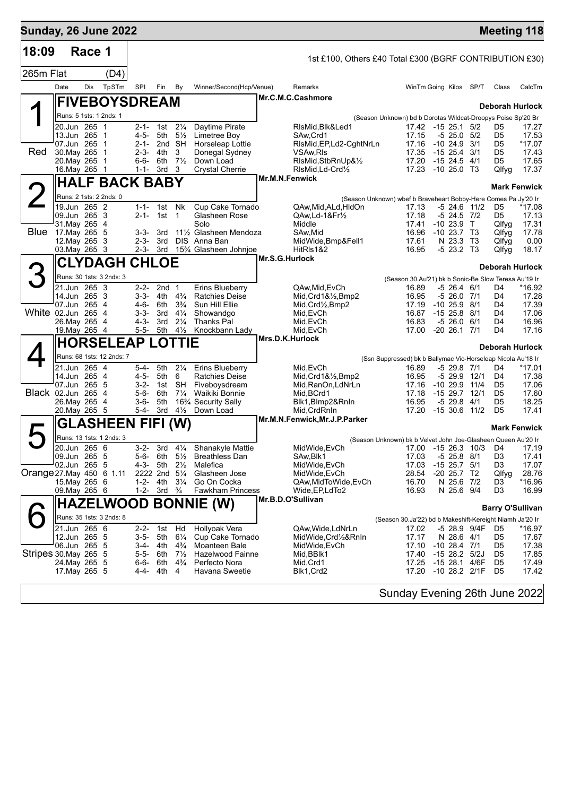| <b>Sunday, 26 June 2022</b> |                                |              |                           |       |                         |                         |                                  |                                                 |                 |                                                         |                                                                          |                                          |                        |                                  | <b>Meeting 118</b>      |
|-----------------------------|--------------------------------|--------------|---------------------------|-------|-------------------------|-------------------------|----------------------------------|-------------------------------------------------|-----------------|---------------------------------------------------------|--------------------------------------------------------------------------|------------------------------------------|------------------------|----------------------------------|-------------------------|
| 18:09                       |                                | Race 1       |                           |       |                         |                         |                                  |                                                 |                 | 1st £100, Others £40 Total £300 (BGRF CONTRIBUTION £30) |                                                                          |                                          |                        |                                  |                         |
| 265m Flat                   |                                |              |                           | (D4)  |                         |                         |                                  |                                                 |                 |                                                         |                                                                          |                                          |                        |                                  |                         |
|                             | Date                           | Dis          |                           | TpSTm | <b>SPI</b>              | Fin                     | By                               | Winner/Second(Hcp/Venue)                        |                 | Remarks                                                 |                                                                          | WinTm Going Kilos SP/T                   |                        | Class                            | CalcTm                  |
|                             |                                |              |                           |       | <b>FIVEBOYSDREAM</b>    |                         |                                  |                                                 |                 | Mr.C.M.C.Cashmore                                       |                                                                          |                                          |                        |                                  |                         |
|                             |                                |              | Runs: 5 1sts: 1 2nds: 1   |       |                         |                         |                                  |                                                 |                 |                                                         |                                                                          |                                          |                        |                                  | <b>Deborah Hurlock</b>  |
|                             | 20.Jun 265 1                   |              |                           |       | $2 - 1 -$               |                         | 1st $2\frac{1}{4}$               | Daytime Pirate                                  |                 | RIsMid.Blk&Led1                                         | (Season Unknown) bd b Dorotas Wildcat-Droopys Poise Sp'20 Br             | 17.42 -15 25.1 5/2                       |                        | D5                               | 17.27                   |
|                             | 13.Jun 265 1                   |              |                           |       | 4-5-                    | 5th                     | $5\frac{1}{2}$                   | Limetree Boy<br>Horseleap Lottie                |                 | SAw, Crd1                                               | 17.15<br>17.16                                                           | $-5$ 25.0 $5/2$<br>$-10, 24.9$           | 3/1                    | D5                               | 17.53                   |
| Red                         | 07.Jun 265 1<br>30. May 265 1  |              |                           |       | 2-1-<br>$2 - 3 -$       | 4th                     | 2nd SH<br>3                      | Donegal Sydney                                  |                 | RIsMid, EP, Ld2-CghtNrLn<br>VSAw, RIs                   | 17.35                                                                    | $-15$ 25.4 3/1                           |                        | D5<br>D5                         | *17.07<br>17.43         |
|                             | 20. May 265 1                  |              |                           |       | $6 - 6 -$               | 6th                     | $7\frac{1}{2}$                   | Down Load                                       |                 | RIsMid, StbRnUp&1/2                                     | 17.20                                                                    | $-1524.5$                                | 4/1                    | D5                               | 17.65                   |
|                             | 16. May 265 1                  |              |                           |       | 1-1-                    | 3rd                     | 3                                | <b>Crystal Cherrie</b>                          | Mr.M.N.Fenwick  | RIsMid, Ld-Crd1/2                                       |                                                                          | 17.23 -10 25.0 T3                        |                        | Qlfyg                            | 17.37                   |
|                             |                                |              |                           |       | <b>HALF BACK BABY</b>   |                         |                                  |                                                 |                 |                                                         |                                                                          |                                          |                        |                                  | <b>Mark Fenwick</b>     |
|                             |                                | 19.Jun 265 2 | Runs: 2 1sts: 2 2nds: 0   |       |                         | 1-1- 1st Nk             |                                  | Cup Cake Tornado                                |                 | QAw,Mid,ALd,HIdOn                                       | (Season Unknown) wbef b Braveheart Bobby-Here Comes Pa Jy'20 Ir<br>17.13 | $-5$ 24.6 11/2                           |                        | D5                               | *17.08                  |
|                             | 09.Jun 265 3                   |              |                           |       | $2 - 1 -$               | 1st                     | $\overline{1}$                   | Glasheen Rose                                   |                 | QAw, Ld-1&Fr <sup>1</sup> / <sub>2</sub>                | 17.18                                                                    | $-5$ 24.5 $7/2$                          |                        | D5                               | 17.13                   |
| <b>Blue</b>                 | 31. May 265 4<br>17.May 265 5  |              |                           |       | 3-3-                    | 3rd                     |                                  | Solo<br>111/2 Glasheen Mendoza                  |                 | Middle<br>SAw, Mid                                      | 17.41<br>16.96                                                           | $-1023.9$ T<br>$-10$ 23.7 T <sub>3</sub> |                        | Qlfyg                            | 17.31<br>17.78          |
|                             | 12. May 265 3                  |              |                           |       | $2 - 3 -$               | 3rd                     | DIS.                             | Anna Ban                                        |                 | MidWide, Bmp&Fell1                                      | 17.61                                                                    | N 23.3 T3                                |                        | Qlfyg<br>Qlfyg                   | 0.00                    |
|                             | 03. May 265 3                  |              |                           |       | 2-3-                    |                         |                                  | 3rd 15% Glasheen Johnjoe                        |                 | HitRIs1&2                                               | 16.95                                                                    | $-523.2$ T3                              |                        | Qlfyg                            | 18.17                   |
|                             |                                |              |                           |       | <b>CLYDAGH CHLOE</b>    |                         |                                  |                                                 | Mr.S.G.Hurlock  |                                                         |                                                                          |                                          |                        |                                  | <b>Deborah Hurlock</b>  |
| 3                           |                                |              | Runs: 30 1sts: 3 2nds: 3  |       |                         |                         |                                  |                                                 |                 |                                                         | (Season 30.Au'21) bk b Sonic-Be Slow Teresa Au'19 Ir                     |                                          |                        |                                  |                         |
|                             | 21.Jun 265 3<br>14.Jun 265 3   |              |                           |       | $2 - 2 -$<br>$3 - 3 -$  | 2nd <sub>1</sub><br>4th | $4\frac{3}{4}$                   | <b>Erins Blueberry</b><br><b>Ratchies Deise</b> |                 | QAw.Mid.EvCh<br>$Mid,Crd1&\frac{1}{2}Bmp2$              | 16.89<br>16.95                                                           | $-5$ 26.4 6/1<br>$-526.07/1$             |                        | D4<br>D4                         | *16.92<br>17.28         |
|                             | 07.Jun 265 4                   |              |                           |       | $4 - 6 -$               | 6th                     | $3\frac{3}{4}$                   | Sun Hill Ellie                                  |                 | $Mid,Crd\frac{1}{2},Bmp2$                               | 17.19                                                                    | $-10$ 25.9 $8/1$                         |                        | D4                               | 17.39                   |
| White 02.Jun 265 4          | 26. May 265 4                  |              |                           |       | $3 - 3 -$<br>4-3-       | 3rd<br>3rd              | $4\frac{1}{4}$<br>$2\frac{1}{4}$ | Showandgo<br><b>Thanks Pal</b>                  |                 | Mid, EvCh                                               | 16.87<br>16.83                                                           | $-1525.8811$<br>$-526.0$                 | 6/1                    | D4<br>D4                         | 17.06<br>16.96          |
|                             | 19. May 265 4                  |              |                           |       | $5 - 5 -$               | 5th                     | $4\frac{1}{2}$                   | Knockbann Lady                                  |                 | Mid, EvCh<br>Mid, EvCh                                  | 17.00                                                                    | $-20$ 26.1 $7/1$                         |                        | D4                               | 17.16                   |
|                             |                                |              |                           |       | <b>HORSELEAP LOTTIE</b> |                         |                                  |                                                 | Mrs.D.K.Hurlock |                                                         |                                                                          |                                          |                        |                                  | Deborah Hurlock         |
|                             |                                |              | Runs: 68 1sts: 12 2nds: 7 |       |                         |                         |                                  |                                                 |                 |                                                         | (Ssn Suppressed) bk b Ballymac Vic-Horseleap Nicola Au'18 Ir             |                                          |                        |                                  |                         |
|                             | 21.Jun 265 4                   |              |                           |       | 5-4-                    | 5th                     | $2\frac{1}{4}$                   | <b>Erins Blueberry</b>                          |                 | Mid, EvCh                                               | 16.89                                                                    | $-529.87/1$                              |                        | D4                               | *17.01                  |
|                             | 14.Jun 265 4<br>07.Jun 265 5   |              |                           |       | $4 - 5 -$<br>$3-2-$     | 5th<br>1st              | 6<br>SH                          | Ratchies Deise                                  |                 | Mid, Crd1&1/2, Bmp2                                     | 16.95<br>17.16                                                           | $-529.9$<br>$-10$ 29.9 $11/4$            | 12/1                   | D4<br>D5                         | 17.38<br>17.06          |
| Black 02.Jun 265 4          |                                |              |                           |       | $5 - 6 -$               | 6th                     | $7\frac{1}{4}$                   | Fiveboysdream<br>Waikiki Bonnie                 |                 | Mid, RanOn, LdNrLn<br>Mid, BCrd1                        | 17.18                                                                    | $-1529.712/1$                            |                        | D5                               | 17.60                   |
|                             | 26.May 265 4                   |              |                           |       | 3-6-                    | 5th<br>5-4- 3rd         |                                  | 16 <sup>3</sup> / <sub>4</sub> Security Sally   |                 | Blk1, Blmp2&RnIn<br>Mid.CrdRnIn                         | 16.95                                                                    | $-529.84/1$                              | 11/2                   | D <sub>5</sub><br>D <sub>5</sub> | 18.25<br>17.41          |
|                             | 20. May 265 5                  |              |                           |       |                         |                         | $4\frac{1}{2}$                   | Down Load                                       |                 | Mr.M.N.Fenwick, Mr.J.P.Parker                           | 17.20                                                                    | $-1530.6$                                |                        |                                  |                         |
|                             |                                |              |                           |       | <b>GLASHEEN FIFI</b>    |                         | (W)                              |                                                 |                 |                                                         |                                                                          |                                          |                        |                                  | <b>Mark Fenwick</b>     |
|                             | 20.Jun 265 6                   |              | Runs: 13 1sts: 1 2nds: 3  |       | $3-2-$                  | 3rd                     |                                  | 41/ <sub>4</sub> Shanakyle Mattie               |                 | MidWide, EvCh                                           | (Season Unknown) bk b Velvet John Joe-Glasheen Queen Au'20 Ir            |                                          | 17.00 -15 26.3 10/3 D4 |                                  | 17.19                   |
|                             | 09.Jun 265 5                   |              |                           |       | 5-6-                    | 6th                     | $5\frac{1}{2}$                   | <b>Breathless Dan</b>                           |                 | SAw, Blk1                                               | 17.03                                                                    | $-5$ 25.8 $8/1$                          |                        | D3                               | 17.41                   |
|                             | 02.Jun 265 5                   |              |                           |       | 4-3-                    | 5th<br>2222 2nd         | $2\frac{1}{2}$<br>$5\frac{1}{4}$ | Malefica<br>Glasheen Jose                       |                 | MidWide, EvCh<br>MidWide, EvCh                          | 17.03<br>28.54                                                           | $-15$ 25.7 $5/1$<br>$-20$ 25.7 T2        |                        | D3<br>Qlfyg                      | 17.07<br>28.76          |
| Orange 27. May 450 6 1.11   | 15. May 265 6                  |              |                           |       | $1 - 2 -$               | 4th                     | $3\frac{1}{4}$                   | Go On Cocka                                     |                 | QAw, MidToWide, EvCh                                    | 16.70                                                                    | N 25.6 7/2                               |                        | D3                               | *16.96                  |
|                             | 09. May 265 6                  |              |                           |       | $1 - 2 -$               | 3rd                     | $\frac{3}{4}$                    | <b>Fawkham Princess</b>                         |                 | Wide, EP, LdTo 2                                        | 16.93                                                                    | N 25.6 9/4                               |                        | D3                               | 16.99                   |
|                             |                                |              |                           |       |                         |                         |                                  | <b>HAZELWOOD BONNIE (W)</b>                     |                 | Mr.B.D.O'Sullivan                                       |                                                                          |                                          |                        |                                  | <b>Barry O'Sullivan</b> |
|                             |                                |              | Runs: 35 1sts: 3 2nds: 8  |       |                         |                         |                                  |                                                 |                 |                                                         | (Season 30.Ja'22) bd b Makeshift-Kereight Niamh Ja'20 Ir                 |                                          |                        |                                  |                         |
|                             | 21.Jun 265 6                   |              |                           |       | $2 - 2 -$               | 1st                     | Hd                               | Hollyoak Vera                                   |                 | QAw, Wide, LdNrLn                                       | 17.02                                                                    |                                          | -5 28.9 9/4F           | D5                               | *16.97                  |
|                             | 12.Jun 265 5<br>06.Jun 265     |              | - 5                       |       | $3-5-$<br>3-4-          | 5th<br>4th              | $6\frac{1}{4}$<br>$4\frac{3}{4}$ | Cup Cake Tornado<br>Moanteen Bale               |                 | MidWide, Crd1/2&RnIn<br>MidWide, EvCh                   | 17.17<br>17.10                                                           | N 28.6 4/1<br>$-10$ 28.4 $7/1$           |                        | D5<br>D5                         | 17.67<br>17.38          |
| Stripes 30. May 265 5       |                                |              |                           |       | $5 - 5 -$               | 6th                     | $7\frac{1}{2}$                   | Hazelwood Fainne                                |                 | Mid, BBIK1                                              | 17.40                                                                    | $-15$ 28.2 $5/2J$                        |                        | D5                               | 17.85                   |
|                             | 24. May 265 5<br>17. May 265 5 |              |                           |       | $6 - 6 -$<br>4-4-       | 6th<br>4th              | $4\frac{3}{4}$<br>4              | Perfecto Nora<br>Havana Sweetie                 |                 | Mid, Crd1<br>Blk1, Crd2                                 | 17.25<br>17.20                                                           | -15 28.1<br>$-10$ 28.2 $2/1F$            | 4/6F                   | D5<br>D5                         | 17.49<br>17.42          |
|                             |                                |              |                           |       |                         |                         |                                  |                                                 |                 |                                                         |                                                                          |                                          |                        |                                  |                         |
|                             |                                |              |                           |       |                         |                         |                                  |                                                 |                 |                                                         | Sunday Evening 26th June 2022                                            |                                          |                        |                                  |                         |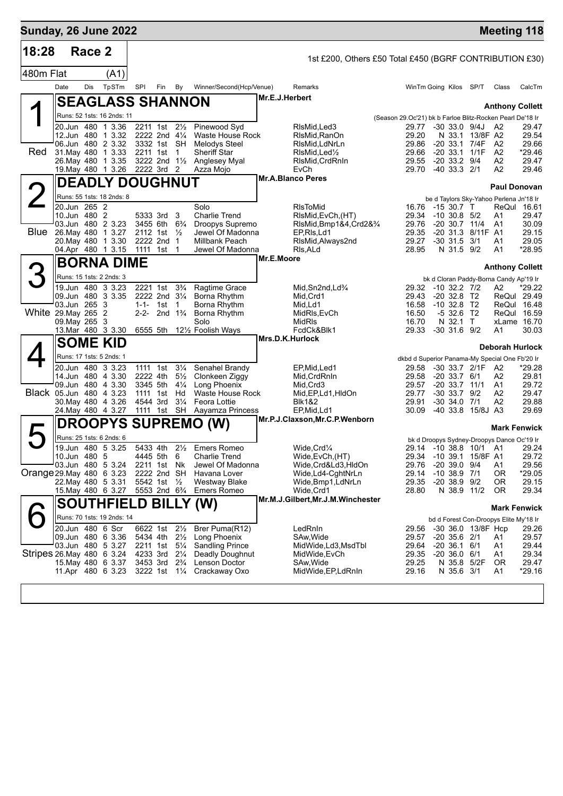| <b>Sunday, 26 June 2022</b> |                                          |        |                            |                         |                                        |                                        |                 |                                                           |                                                           |                                                                      |                 | <b>Meeting 118</b>               |                   |
|-----------------------------|------------------------------------------|--------|----------------------------|-------------------------|----------------------------------------|----------------------------------------|-----------------|-----------------------------------------------------------|-----------------------------------------------------------|----------------------------------------------------------------------|-----------------|----------------------------------|-------------------|
| 18:28                       |                                          | Race 2 |                            |                         |                                        |                                        |                 | 1st £200, Others £50 Total £450 (BGRF CONTRIBUTION £30)   |                                                           |                                                                      |                 |                                  |                   |
| 480m Flat                   |                                          |        | (A1)                       |                         |                                        |                                        |                 |                                                           |                                                           |                                                                      |                 |                                  |                   |
|                             | Date                                     | Dis    | TpSTm                      | <b>SPI</b>              | Fin<br>By                              | Winner/Second(Hcp/Venue)               |                 | Remarks                                                   |                                                           | WinTm Going Kilos SP/T                                               |                 | Class                            | CalcTm            |
|                             |                                          |        |                            | <b>SEAGLASS SHANNON</b> |                                        |                                        | Mr.E.J.Herbert  |                                                           |                                                           |                                                                      |                 |                                  |                   |
|                             |                                          |        | Runs: 52 1sts: 16 2nds: 11 |                         |                                        |                                        |                 |                                                           |                                                           |                                                                      |                 | <b>Anthony Collett</b>           |                   |
|                             | 20.Jun 480 1 3.36                        |        |                            | 2211 1st                | $2\frac{1}{2}$                         | Pinewood Syd                           |                 | RIsMid.Led3                                               | (Season 29.Oc'21) bk b Farloe Blitz-Rocken Pearl De'18 Ir | 29.77 -30 33.0 9/4J                                                  |                 | - A2                             | 29.47             |
|                             | 12.Jun 480 1 3.32                        |        |                            |                         | 2222 2nd 41/4                          | Waste House Rock                       |                 | RIsMid, RanOn                                             | 29.20                                                     |                                                                      | N 33.1 13/8F A2 |                                  | 29.54             |
| <b>Red</b>                  | 06.Jun 480 2 3.32<br>31 May 480 1 3.33   |        |                            | 3332 1st<br>2211 1st    | SH<br>$\overline{1}$                   | <b>Melodys Steel</b><br>Sheriff Star   |                 | RIsMid, LdNrLn<br>RIsMid, Led <sup>1</sup> / <sub>2</sub> | 29.86<br>29.66                                            | $-20$ 33.1 $7/4F$<br>$-20$ 33.1 $1/1F$                               |                 | A <sub>2</sub><br>A <sub>2</sub> | 29.66<br>*29.46   |
|                             | 26. May 480 1 3.35                       |        |                            |                         | 3222 2nd 11/2                          | Anglesey Myal                          |                 | RIsMid, CrdRnIn                                           | 29.55                                                     | $-20$ 33.2 $9/4$                                                     |                 | A2                               | 29.47             |
|                             | 19. May 480 1 3.26                       |        |                            | 2222 3rd 2              |                                        | Azza Mojo                              |                 | EvCh<br><b>Mr.A.Blanco Peres</b>                          | 29.70                                                     | -40 33.3 2/1                                                         |                 | A <sub>2</sub>                   | 29.46             |
|                             |                                          |        |                            | <b>DEADLY DOUGHNUT</b>  |                                        |                                        |                 |                                                           |                                                           |                                                                      |                 | <b>Paul Donovan</b>              |                   |
|                             |                                          |        | Runs: 55 1sts: 18 2nds: 8  |                         |                                        |                                        |                 |                                                           |                                                           | be d Taylors Sky-Yahoo Perlena Jn'18 Ir                              |                 |                                  |                   |
|                             | 20.Jun 265 2<br>10.Jun 480 2             |        |                            | 5333 3rd                | 3                                      | Solo<br><b>Charlie Trend</b>           |                 | <b>RIsToMid</b><br>RIsMid, EvCh, (HT)                     | 16.76<br>29.34                                            | -15 30.7 T<br>$-10$ 30.8 $5/2$                                       |                 | ReQul 16.61<br>A1                | 29.47             |
|                             | 03.Jun 480 2 3.23                        |        |                            | 3455 6th                | $6\frac{3}{4}$                         | Droopys Supremo                        |                 | RIsMid, Bmp1&4, Crd2&3/4                                  | 29.76                                                     | $-20$ 30.7 11/4                                                      |                 | A <sub>1</sub>                   | 30.09             |
| <b>Blue</b>                 | 26. May 480 1 3.27                       |        |                            | 2112 1st                | $\frac{1}{2}$                          | Jewel Of Madonna                       |                 | EP, RIs, Ld1                                              | 29.35                                                     | -20 31.3 8/11F A1                                                    |                 |                                  | 29.15             |
|                             | 20. May 480 1 3.30<br>04.Apr 480 1 3.15  |        |                            | 2222 2nd<br>1111 1st    | $\mathbf{1}$<br>-1                     | Millbank Peach<br>Jewel Of Madonna     |                 | RIsMid, Always2nd<br>RIs, ALd                             | 29.27<br>28.95                                            | $-30$ 31.5<br>N 31.5 9/2                                             | 3/1             | A <sub>1</sub><br>A <sub>1</sub> | 29.05<br>*28.95   |
|                             |                                          |        | <b>BORNA DIME</b>          |                         |                                        |                                        | Mr.E.Moore      |                                                           |                                                           |                                                                      |                 |                                  |                   |
|                             | Runs: 15 1sts: 2 2nds: 3                 |        |                            |                         |                                        |                                        |                 |                                                           |                                                           |                                                                      |                 | <b>Anthony Collett</b>           |                   |
|                             | 19.Jun 480 3 3.23                        |        |                            | 2221 1st                | $3\frac{3}{4}$                         | Ragtime Grace                          |                 | Mid.Sn2nd.Ld <sup>3</sup> /4                              | 29.32                                                     | bk d Cloran Paddy-Borna Candy Ap'19 Ir<br>$-10$ 32.2 $7/2$           |                 | А2                               | *29.22            |
|                             | 09.Jun 480 3 3.35                        |        |                            |                         | 2222 2nd 31/4                          | Borna Rhythm                           |                 | Mid, Crd1                                                 | 29.43                                                     | $-20$ 32.8 T <sub>2</sub>                                            |                 | ReQul 29.49                      |                   |
| White 29. May 265 2         | 03.Jun 265 3                             |        |                            | $1 - 1 - 1$ st          | 1<br>2-2- 2nd $1\frac{3}{4}$           | Borna Rhythm<br>Borna Rhythm           |                 | Mid,Ld1<br>MidRIs, EvCh                                   | 16.58<br>16.50                                            | $-10$ 32.8 T2<br>$-532.6$ T2                                         |                 | ReQul 16.48<br>ReQul 16.59       |                   |
|                             | 09. May 265 3                            |        |                            |                         |                                        | Solo                                   |                 | MidRIs                                                    | 16.70                                                     | N 32.1 T                                                             |                 | xLame 16.70                      |                   |
|                             | 13. Mar 480 3 3.30                       |        |                            | 6555 5th                |                                        | 121/2 Foolish Ways                     |                 | FcdCk&Blk1                                                | 29.33                                                     | $-30$ 31.6 $9/2$                                                     |                 | Α1                               | 30.03             |
|                             | <b>SOME KID</b>                          |        |                            |                         |                                        |                                        | Mrs.D.K.Hurlock |                                                           |                                                           |                                                                      |                 | Deborah Hurlock                  |                   |
|                             | Runs: 17 1sts: 5 2nds: 1                 |        |                            |                         |                                        |                                        |                 |                                                           |                                                           | dkbd d Superior Panama-My Special One Fb'20 Ir                       |                 |                                  |                   |
|                             | 20.Jun 480 3 3.23<br>14.Jun 480 4 3.30   |        |                            | 1111 1st<br>2222 4th    | $3\frac{1}{4}$<br>$5\frac{1}{2}$       | Senahel Brandy<br>Clonkeen Ziggy       |                 | EP, Mid, Led1<br>Mid, CrdRnIn                             | 29.58<br>29.58                                            | -30 33.7 2/1F A2<br>$-20$ 33.7 $6/1$                                 |                 | A2                               | *29.28<br>29.81   |
|                             | 09.Jun 480 4 3.30                        |        |                            | 3345 5th                | $4\frac{1}{4}$                         | Long Phoenix                           |                 | Mid, Crd3                                                 | 29.57                                                     | -20 33.7 11/1                                                        |                 | A1                               | 29.72             |
| Black 05.Jun 480 4 3.23     |                                          |        |                            | 1111 1st                | Hd                                     | Waste House Rock                       |                 | Mid, EP, Ld1, HIdOn                                       | 29.77                                                     | $-30$ 33.7 $9/2$                                                     |                 | A2                               | 29.47             |
|                             | 30. May 480 4 3.26<br>24. May 480 4 3.27 |        |                            | 4544 3rd<br>1111 1st    | $3\frac{1}{4}$                         | Feora Lottie<br>SH Aayamza Princess    |                 | <b>Blk1&amp;2</b><br>EP, Mid, Ld1                         | 29.91<br>30.09                                            | $-30$ 34.0 $7/1$<br>-40 33.8 15/8J A3                                |                 | A2                               | 29.88<br>29.69    |
|                             |                                          |        |                            | <b>DROOPYS SUPREMO</b>  |                                        |                                        |                 | Mr.P.J.Claxson, Mr.C.P. Wenborn                           |                                                           |                                                                      |                 |                                  |                   |
|                             | Runs: 25 1sts: 6 2nds: 6                 |        |                            |                         |                                        |                                        |                 |                                                           |                                                           |                                                                      |                 | <b>Mark Fenwick</b>              |                   |
|                             | 19.Jun 480 5 3.25                        |        |                            |                         |                                        | 5433 4th 21/ <sub>2</sub> Emers Romeo  |                 | Wide, Crd1/4                                              |                                                           | bk d Droopys Sydney-Droopys Dance Oc'19 Ir<br>29.14 -10 38.8 10/1 A1 |                 |                                  | 29.24             |
|                             | 10.Jun 480 5                             |        |                            | 4445 5th                | 6                                      | <b>Charlie Trend</b>                   |                 | Wide, EvCh, (HT)                                          | 29.34                                                     | -10 39.1 15/8F A1                                                    |                 |                                  | 29.72             |
| Orange 29. May 480 6 3.23   | 03.Jun 480 5 3.24                        |        |                            | 2211 1st<br>2222 2nd    | Nk<br>SH                               | Jewel Of Madonna<br>Havana Lover       |                 | Wide,Crd&Ld3,HldOn<br>Wide,Ld4-CghtNrLn                   | 29.76<br>29.14                                            | $-20$ 39.0 9/4<br>$-10$ 38.9 $7/1$                                   |                 | Α1<br>0R                         | 29.56<br>$*29.05$ |
|                             | 22. May 480 5 3.31                       |        |                            | 5542 1st                | $\frac{1}{2}$                          | <b>Westway Blake</b>                   |                 | Wide, Bmp1, LdNrLn                                        | 29.35                                                     | $-20$ 38.9 $9/2$                                                     |                 | 0R                               | 29.15             |
|                             | 15. May 480 6 3.27                       |        |                            |                         | 5553 2nd 6 <sup>3</sup> / <sub>4</sub> | <b>Emers Romeo</b>                     |                 | Wide, Crd1                                                | 28.80                                                     | N 38.9 11/2                                                          |                 | 0R                               | 29.34             |
|                             |                                          |        |                            |                         |                                        | <b>SOUTHFIELD BILLY (W)</b>            |                 | Mr.M.J.Gilbert, Mr.J.M. Winchester                        |                                                           |                                                                      |                 | <b>Mark Fenwick</b>              |                   |
|                             |                                          |        | Runs: 70 1sts: 19 2nds: 14 |                         |                                        |                                        |                 |                                                           |                                                           | bd d Forest Con-Droopys Elite My'18 Ir                               |                 |                                  |                   |
|                             | 20.Jun 480 6 Scr<br>09.Jun 480 6 3.36    |        |                            | 6622 1st<br>5434 4th    | $2\frac{1}{2}$                         | Brer Puma(R12)                         |                 | LedRnIn                                                   | 29.56                                                     | -30 36.0 13/8F Hcp<br>$-20$ 35.6 $2/1$                               |                 |                                  | 29.26             |
|                             | 03.Jun 480 5 3.27                        |        |                            | 2211 1st                | $2\frac{1}{2}$<br>$5\frac{1}{4}$       | Long Phoenix<br><b>Sandling Prince</b> |                 | SAw, Wide<br>MidWide, Ld3, MsdTbl                         | 29.57<br>29.64                                            | $-20$ 36.1 6/1                                                       |                 | A1<br>A1                         | 29.57<br>29.44    |
| Stripes 26. May 480 6 3.24  |                                          |        |                            | 4233 3rd                | $2\frac{1}{4}$                         | Deadly Doughnut                        |                 | MidWide, EvCh                                             | 29.35                                                     | $-20,36.0$                                                           | -6/1            | A1                               | 29.34             |
|                             | 15 May 480 6 3.37<br>11.Apr 480 6 3.23   |        |                            | 3453 3rd<br>3222 1st    | $2\frac{3}{4}$<br>$1\frac{1}{4}$       | Lenson Doctor<br>Crackaway Oxo         |                 | SAw,Wide<br>MidWide, EP, LdRnIn                           | 29.25<br>29.16                                            | N 35.6 3/1                                                           | N 35.8 5/2F     | 0R<br>A <sub>1</sub>             | 29.47<br>$*29.16$ |
|                             |                                          |        |                            |                         |                                        |                                        |                 |                                                           |                                                           |                                                                      |                 |                                  |                   |
|                             |                                          |        |                            |                         |                                        |                                        |                 |                                                           |                                                           |                                                                      |                 |                                  |                   |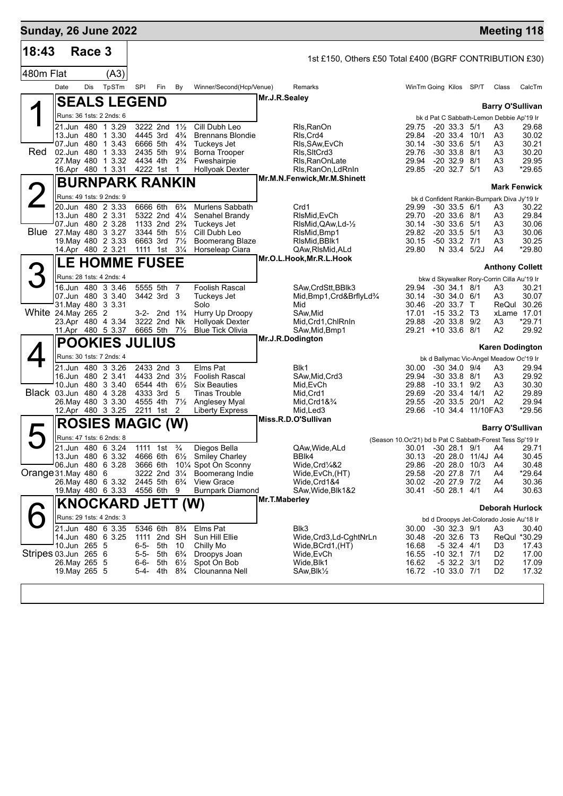| <b>Sunday, 26 June 2022</b> |                                               |        |                          |                                                    |                         |                                  |                                           |               |                                                         |                                                                    |  |                                              |                   | <b>Meeting 118</b>                                 |                   |
|-----------------------------|-----------------------------------------------|--------|--------------------------|----------------------------------------------------|-------------------------|----------------------------------|-------------------------------------------|---------------|---------------------------------------------------------|--------------------------------------------------------------------|--|----------------------------------------------|-------------------|----------------------------------------------------|-------------------|
| 18:43                       |                                               | Race 3 |                          |                                                    |                         |                                  |                                           |               | 1st £150, Others £50 Total £400 (BGRF CONTRIBUTION £30) |                                                                    |  |                                              |                   |                                                    |                   |
| 480m Flat                   |                                               |        | (A3)                     |                                                    |                         |                                  |                                           |               |                                                         |                                                                    |  |                                              |                   |                                                    |                   |
|                             | Date                                          | Dis    | TpSTm                    | SPI                                                | Fin                     | By                               | Winner/Second(Hcp/Venue)                  |               | Remarks                                                 |                                                                    |  | WinTm Going Kilos SP/T                       |                   | Class                                              | CalcTm            |
|                             |                                               |        | <b>SEALS LEGEND</b>      |                                                    |                         |                                  |                                           | Mr.J.R.Sealey |                                                         |                                                                    |  |                                              |                   |                                                    |                   |
|                             |                                               |        |                          |                                                    |                         |                                  |                                           |               |                                                         |                                                                    |  |                                              |                   | <b>Barry O'Sullivan</b>                            |                   |
|                             | 21.Jun 480 1 3.29                             |        | Runs: 36 1sts: 2 2nds: 6 | 3222 2nd                                           |                         | $1\frac{1}{2}$                   | Cill Dubh Leo                             |               | Rls, RanOn                                              | 29.75                                                              |  | $-20.33.3$                                   | 5/1               | bk d Pat C Sabbath-Lemon Debbie Ap'19 Ir<br>A3     | 29.68             |
|                             | 13.Jun 480                                    |        | 1 3.30                   | 4445 3rd                                           |                         | $4\frac{3}{4}$                   | <b>Brennans Blondie</b>                   |               | RIs Crd4                                                | 29.84                                                              |  | $-20$ 33.4 $10/1$                            |                   | A3                                                 | 30.02             |
|                             | 07.Jun 480                                    |        | 13.43                    | 6666 5th                                           |                         | $4\frac{3}{4}$                   | Tuckeys Jet                               |               | RIs, SAw, EvCh                                          | 30.14                                                              |  | $-30$ 33.6                                   | 5/1               | A3                                                 | 30.21             |
| Red                         | 02.Jun 480<br>27. May 480                     |        | 1 3.33<br>1 3.32         | 2435 5th<br>4434 4th                               |                         | $9\frac{1}{4}$<br>$2\frac{3}{4}$ | <b>Borna Trooper</b><br>Fweshairpie       |               | RIs, SItCrd3<br>Rls, RanOnLate                          | 29.76<br>29.94                                                     |  | $-30$ 33.8 $8/1$<br>$-20$ 32.9 $8/1$         |                   | A3<br>A3                                           | 30.20<br>29.95    |
|                             | 16.Apr 480 1 3.31                             |        |                          | 4222 1st                                           |                         | -1                               | <b>Hollyoak Dexter</b>                    |               | RIs, RanOn, LdRnIn                                      | 29.85                                                              |  | $-20$ 32.7 $5/1$                             |                   | A3                                                 | *29.65            |
|                             |                                               |        | <b>BURNPARK RANKIN</b>   |                                                    |                         |                                  |                                           |               | Mr.M.N.Fenwick, Mr.M.Shinett                            |                                                                    |  |                                              |                   |                                                    |                   |
|                             | Runs: 49 1sts: 9 2nds: 9                      |        |                          |                                                    |                         |                                  |                                           |               |                                                         |                                                                    |  |                                              |                   | <b>Mark Fenwick</b>                                |                   |
|                             | 20.Jun 480 2 3.33                             |        |                          | 6666 6th                                           |                         | $6\frac{3}{4}$                   | Murlens Sabbath                           |               | Crd1                                                    | 29.99                                                              |  | $-30$ 33.5 $6/1$                             |                   | bk d Confident Rankin-Burnpark Diva Jy'19 Ir<br>A3 | 30.22             |
|                             | 13.Jun 480 2 3.31                             |        |                          | 5322 2nd                                           |                         | $4\frac{1}{4}$                   | Senahel Brandy                            |               | RIsMid, EvCh                                            | 29.70                                                              |  | $-20, 33.6, 8/1$                             |                   | A3                                                 | 29.84             |
|                             | 07.Jun 480 2 3.28                             |        |                          | 1133 2nd                                           |                         | $2\frac{3}{4}$                   | Tuckeys Jet                               |               | RIsMid, QAw, Ld-1/2                                     | 30.14                                                              |  | $-30$ 33.6 $5/1$                             |                   | A3                                                 | 30.06             |
| <b>Blue</b>                 | 27. May 480 3 3.27<br>19. May 480 2 3.33      |        |                          | 3344 5th<br>6663 3rd                               |                         | $5\frac{1}{2}$<br>$7\frac{1}{2}$ | Cill Dubh Leo<br><b>Boomerang Blaze</b>   |               | RIsMid, Bmp1<br>RIsMid, BBIk1                           | 29.82<br>30.15                                                     |  | $-20$ 33.5 $5/1$<br>$-50$ 33.2 $7/1$         |                   | A3<br>A3                                           | 30.06<br>30.25    |
|                             | 14.Apr 480 2 3.21                             |        |                          | 1111 1st                                           |                         | $3\frac{1}{4}$                   | Horseleap Ciara                           |               | QAw, RIsMid, ALd                                        | 29.80                                                              |  | N 33.4 5/2J                                  |                   | A4                                                 | *29.80            |
|                             | LE                                            |        | <b>HOMME FUSEE</b>       |                                                    |                         |                                  |                                           |               | Mr.O.L.Hook, Mr.R.L.Hook                                |                                                                    |  |                                              |                   |                                                    |                   |
|                             | Runs: 28 1sts: 4 2nds: 4                      |        |                          |                                                    |                         |                                  |                                           |               |                                                         |                                                                    |  |                                              |                   | <b>Anthony Collett</b>                             |                   |
|                             | 16.Jun 480 3 3.46                             |        |                          | 5555 5th                                           |                         | 7                                | Foolish Rascal                            |               | SAw.CrdStt.BBlk3                                        | 29.94                                                              |  | $-30$ 34.1 $8/1$                             |                   | bkw d Skywalker Rory-Corrin Cilla Au'19 Ir<br>A3   | 30.21             |
|                             | 07.Jun 480 3 3.40                             |        |                          |                                                    | 3442 3rd                | 3                                | Tuckeys Jet                               |               | Mid, Bmp1, Crd&BrflyLd <sup>3</sup> /4                  | 30.14                                                              |  | $-30$ 34.0 $6/1$                             |                   | A3                                                 | 30.07             |
|                             | 31 May 480 3 3.31                             |        |                          |                                                    |                         |                                  | Solo                                      |               | Mid                                                     | 30.46                                                              |  | $-20, 33.7$ T                                |                   | ReQul                                              | 30.26             |
|                             | White 24. May 265 2<br>23.Apr 480 4 3.34      |        |                          | 3222 2nd                                           | 3-2- 2nd $1\frac{3}{4}$ | Nk                               | Hurry Up Droopy<br><b>Hollyoak Dexter</b> |               | SAw,Mid<br>Mid, Crd1, ChlRnIn                           | 17.01<br>29.88                                                     |  | $-1533.2$ T <sub>3</sub><br>$-20$ 33.8 $9/2$ |                   | xLame 17.01<br>A3                                  | *29.71            |
|                             |                                               |        | 11.Apr 480 5 3.37        | 6665 5th 71/2                                      |                         |                                  | <b>Blue Tick Olivia</b>                   |               | SAw, Mid, Bmp1                                          | 29.21                                                              |  | $+10$ 33.6 8/1                               |                   | A2                                                 | 29.92             |
|                             |                                               |        | <b>POOKIES JULIUS</b>    |                                                    |                         |                                  |                                           |               | Mr.J.R.Dodington                                        |                                                                    |  |                                              |                   |                                                    |                   |
|                             |                                               |        | Runs: 30 1sts: 7 2nds: 4 |                                                    |                         |                                  |                                           |               |                                                         |                                                                    |  |                                              |                   | <b>Karen Dodington</b>                             |                   |
|                             | 21.Jun 480 3 3.26                             |        |                          |                                                    | 2433 2nd 3              |                                  | Elms Pat                                  |               | Blk1                                                    | 30.00                                                              |  | $-30, 34.0, 9/4$                             |                   | bk d Ballymac Vic-Angel Meadow Oc'19 Ir<br>A3      | 29.94             |
|                             | 16.Jun 480 2 3.41                             |        |                          | 4433 2nd                                           |                         | $3\frac{1}{2}$                   | <b>Foolish Rascal</b>                     |               | SAw, Mid, Crd3                                          | 29.94                                                              |  | $-30$ 33.8 $8/1$                             |                   | A3                                                 | 29.92             |
|                             | 10.Jun 480 3 3.40                             |        |                          | 6544 4th                                           |                         | $6\frac{1}{2}$                   | <b>Six Beauties</b>                       |               | Mid, EvCh                                               | 29.88                                                              |  | $-10.33.1$                                   | 9/2               | A3                                                 | 30.30             |
|                             | Black 03.Jun 480 4 3.28<br>26. May 480 3 3.30 |        |                          | 4333 3rd<br>4555 4th                               |                         | 5<br>$7\frac{1}{2}$              | <b>Tinas Trouble</b><br>Anglesey Myal     |               | Mid, Crd1<br>Mid, Crd $18\frac{3}{4}$                   | 29.69<br>29.55                                                     |  | $-20.33.4$<br>$-20.33.5$                     | 14/1<br>20/1      | A <sub>2</sub><br>A <sub>2</sub>                   | 29.89<br>29.94    |
|                             |                                               |        | 12.Apr 480 3 3.25        | 2211 1st                                           |                         | 2                                | <b>Liberty Express</b>                    |               | Mid,Led3                                                | 29.66                                                              |  |                                              | -10 34.4 11/10FA3 |                                                    | *29.56            |
|                             |                                               |        | <b>ROSIES MAGIC (W)</b>  |                                                    |                         |                                  |                                           |               | Miss.R.D.O'Sullivan                                     |                                                                    |  |                                              |                   |                                                    |                   |
|                             |                                               |        | Runs: 47 1sts: 6 2nds: 8 |                                                    |                         |                                  |                                           |               |                                                         |                                                                    |  |                                              |                   | <b>Barry O'Sullivan</b>                            |                   |
|                             | 21.Jun 480 6 3.24                             |        |                          | 1111 1st <sup>3</sup> / <sub>4</sub>               |                         |                                  | Diegos Bella                              |               | QAw, Wide, ALd                                          | (Season 10.Oc'21) bd b Pat C Sabbath-Forest Tess Sp'19 Ir<br>30.01 |  | -30 28.1 9/1                                 |                   | A4                                                 | 29.71             |
|                             | 13.Jun 480 6 3.32                             |        |                          | 4666 6th                                           |                         | $6\frac{1}{2}$                   | <b>Smiley Charley</b>                     |               | BBIk4                                                   | 30.13                                                              |  |                                              | $-2028.011/4J$    | A4                                                 | 30.45             |
|                             | 06.Jun 480 6 3.28                             |        |                          | 3666 6th                                           |                         |                                  | 101⁄4 Spot On Sconny                      |               | Wide,Crd¼&2                                             | 29.86                                                              |  | $-20$ 28.0 10/3                              |                   | A4                                                 | 30.48             |
| Orange 31. May 480 6        |                                               |        | 26.May 480 6 3.32        | 3222 2nd<br>2445 5th 6 <sup>3</sup> / <sub>4</sub> |                         | $3\frac{1}{4}$                   | Boomerang Indie<br><b>View Grace</b>      |               | Wide, EvCh, (HT)<br>Wide,Crd1&4                         | 29.58                                                              |  | $-20$ 27.8 $7/1$<br>30.02 -20 27.9 7/2       |                   | A4<br>A4                                           | $*29.64$<br>30.36 |
|                             |                                               |        | 19. May 480 6 3.33       | 4556 6th                                           |                         | 9                                | <b>Burnpark Diamond</b>                   |               | SAw, Wide, Blk1&2                                       | 30.41                                                              |  | $-50$ 28.1 4/1                               |                   | A4                                                 | 30.63             |
|                             |                                               |        | <b>KNOCKARD JETT (W)</b> |                                                    |                         |                                  |                                           | Mr.T.Maberley |                                                         |                                                                    |  |                                              |                   |                                                    |                   |
|                             | Runs: 29 1sts: 4 2nds: 3                      |        |                          |                                                    |                         |                                  |                                           |               |                                                         |                                                                    |  |                                              |                   | <b>Deborah Hurlock</b>                             |                   |
|                             | 21.Jun 480 6 3.35                             |        |                          | 5346 6th                                           |                         | $8\frac{3}{4}$                   | Elms Pat                                  |               | Blk3                                                    | 30.00                                                              |  | $-30$ 32.3 $9/1$                             |                   | bd d Droopys Jet-Colorado Josie Au'18 Ir<br>A3     | 30.40             |
|                             | 14.Jun 480 6 3.25                             |        |                          | 1111 2nd                                           |                         | SH                               | Sun Hill Ellie                            |               | Wide,Crd3,Ld-CghtNrLn                                   | 30.48                                                              |  | -20 32.6 T3                                  |                   | ReQul *30.29                                       |                   |
|                             | 10.Jun 265 5                                  |        |                          | $6 - 5 -$                                          | 5th                     | 10                               | Chilly Mo                                 |               | (HT), Wide, BCrd1                                       | 16.68                                                              |  | $-5$ 32.4 4/1                                |                   | D3                                                 | 17.43             |
| Stripes 03.Jun 265 6        | 26. May 265 5                                 |        |                          | $5 - 5 -$<br>$6 - 6 -$                             | 5th<br>5th              | $6\frac{3}{4}$<br>$6\frac{1}{2}$ | Droopys Joan<br>Spot On Bob               |               | Wide,EvCh<br>Wide,Blk1                                  | 16.55<br>16.62                                                     |  | $-10$ 32.1 $7/1$<br>$-5$ 32.2 3/1            |                   | D <sub>2</sub><br>D <sub>2</sub>                   | 17.00<br>17.09    |
|                             | 19. May 265 5                                 |        |                          | 5-4- 4th                                           |                         | $8\frac{3}{4}$                   | Clounanna Nell                            |               | SAw, Blk <sup>y</sup> <sub>2</sub>                      |                                                                    |  | 16.72 -10 33.0 7/1                           |                   | D <sub>2</sub>                                     | 17.32             |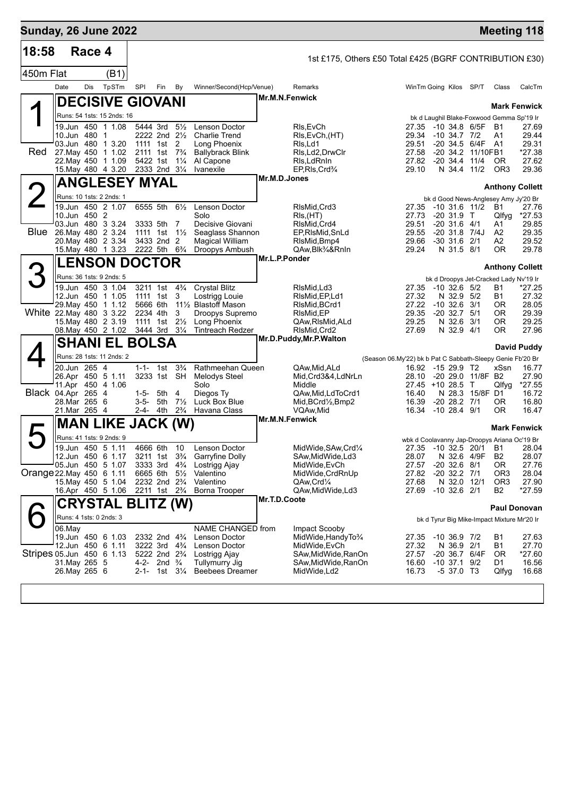| <b>Sunday, 26 June 2022</b> |  |  |
|-----------------------------|--|--|

| 18:58                     |        | Race 4                         |                                              |               |                                                |                                           |                                                        |                | 1st £175, Others £50 Total £425 (BGRF CONTRIBUTION £30) |                                                            |                                |                        |                                              |                |
|---------------------------|--------|--------------------------------|----------------------------------------------|---------------|------------------------------------------------|-------------------------------------------|--------------------------------------------------------|----------------|---------------------------------------------------------|------------------------------------------------------------|--------------------------------|------------------------|----------------------------------------------|----------------|
| 450m Flat                 |        |                                | (B1)                                         |               |                                                |                                           |                                                        |                |                                                         |                                                            |                                |                        |                                              |                |
|                           | Date   | Dis                            | TpSTm                                        | SPI           | Fin                                            | By                                        | Winner/Second(Hcp/Venue)                               |                | Remarks                                                 |                                                            |                                | WinTm Going Kilos SP/T | Class                                        | CalcTm         |
|                           |        |                                | <b>DECISIVE GIOVANI</b>                      |               |                                                |                                           |                                                        | Mr.M.N.Fenwick |                                                         |                                                            |                                |                        | <b>Mark Fenwick</b>                          |                |
|                           |        |                                | Runs: 54 1sts: 15 2nds: 16                   |               |                                                |                                           |                                                        |                |                                                         |                                                            |                                |                        | bk d Laughil Blake-Foxwood Gemma Sp'19 Ir    |                |
|                           |        | 10.Jun 480 1                   | 19.Jun 450 1 1.08                            | 5444 3rd      |                                                | $5\frac{1}{2}$<br>2222 2nd $2\frac{1}{2}$ | Lenson Doctor<br><b>Charlie Trend</b>                  |                | RIs, EvCh<br>RIs, EvCh, (HT)                            | 29.34                                                      | $-10, 34.7, 7/2$               | 27.35 -10 34.8 6/5F    | <b>B1</b><br>A1                              | 27.69<br>29.44 |
|                           |        |                                | 03.Jun 480 1 3.20                            |               | 1111 1st 2                                     |                                           | Long Phoenix                                           |                | Rls,Ld1                                                 | 29.51                                                      |                                | -20 34.5 6/4F          | A1                                           | 29.31          |
| Red                       |        |                                | 27. May 450 1 1.02                           |               |                                                | 2111 1st 7 <sup>3</sup> / <sub>4</sub>    | <b>Ballybrack Blink</b>                                |                | RIs, Ld2, DrwClr                                        | 27.58                                                      |                                | -20 34.2 11/10FB1      |                                              | *27.38         |
|                           |        |                                | 22. May 450 1 1.09<br>15. May 480 4 3.20     | 5422 1st      | 2333 2nd 31/4                                  | $1\frac{1}{4}$                            | Al Capone<br>Ivanexile                                 |                | RIs, Ld RnIn<br>EP, RIs, Crd <sup>3</sup> /4            | 27.82<br>29.10                                             | $-20, 34.4$                    | 11/4<br>N 34.4 11/2    | <b>OR</b><br>OR <sub>3</sub>                 | 27.62<br>29.36 |
|                           |        |                                | <b>ANGLESEY MYAL</b>                         |               |                                                |                                           |                                                        | Mr.M.D.Jones   |                                                         |                                                            |                                |                        | <b>Anthony Collett</b>                       |                |
|                           |        | Runs: 10 1sts: 2 2nds: 1       |                                              |               |                                                |                                           |                                                        |                |                                                         |                                                            |                                |                        |                                              |                |
|                           |        |                                | 19.Jun 450 2 1.07                            | 6555 5th      |                                                |                                           | 61/ <sub>2</sub> Lenson Doctor                         |                | RIsMid, Crd3                                            |                                                            |                                | 27.35 -10 31.6 11/2 B1 | bk d Good News-Anglesey Amy Jy'20 Br         | 27.76          |
|                           |        | 10.Jun 450 2                   |                                              |               |                                                |                                           | Solo                                                   |                | RIs, (HT)                                               | 27.73                                                      | $-20$ 31.9 T                   |                        | Qlfyg                                        | *27.53         |
|                           |        |                                | 03.Jun 480 3 3.24<br>Blue 26. May 480 2 3.24 |               | 3333 5th                                       | 7<br>1111 1st $1\frac{1}{2}$              | Decisive Giovani<br>Seaglass Shannon                   |                | RIsMid.Crd4<br>EP, RIsMid, SnLd                         | 29.51<br>29.55                                             | $-20$ 31.6 4/1                 | $-20$ 31.8 $7/4J$      | A1<br>A2                                     | 29.85<br>29.35 |
|                           |        |                                | 20. May 480 2 3.34                           |               | 3433 2nd 2                                     |                                           | Magical William                                        |                | RIsMid, Bmp4                                            | 29.66                                                      | $-30$ 31.6 $2/1$               |                        | A2                                           | 29.52          |
|                           |        |                                | 15. May 480 1 3.23                           |               | 2222 5th 6 <sup>3</sup> / <sub>4</sub>         |                                           | Droopys Ambush                                         |                | QAw, Blk <sup>3</sup> / <sub>4</sub> &RnIn              | 29.24                                                      | N 31.5 8/1                     |                        | <b>OR</b>                                    | 29.78          |
|                           |        |                                | <b>_ENSON DOCTOR</b>                         |               |                                                |                                           |                                                        | Mr.L.P.Ponder  |                                                         |                                                            |                                |                        | <b>Anthony Collett</b>                       |                |
|                           |        | Runs: 36 1sts: 9 2nds: 5       |                                              |               |                                                |                                           |                                                        |                |                                                         |                                                            |                                |                        | bk d Droopys Jet-Cracked Lady Nv'19 Ir       |                |
|                           |        |                                | 19.Jun 450 3 1.04                            |               | 3211 1st                                       | $4\frac{3}{4}$                            | <b>Crystal Blitz</b>                                   |                | RIsMid,Ld3                                              | 27.35                                                      | $-10$ 32.6 5/2                 |                        | B1                                           | *27.25         |
|                           |        |                                | 12.Jun 450 1 1.05<br>29. May 450 1 1.12      | 5666 6th      | 1111 1st                                       | - 3                                       | Lostrigg Louie<br>11½ Blastoff Mason                   |                | RIsMid, EP, Ld1<br>RIsMid, BCrd1                        | 27.32<br>27.22                                             | N 32.9 5/2<br>$-10$ 32.6 3/1   |                        | <b>B1</b><br>0R                              | 27.32<br>28.05 |
|                           |        |                                | White 22. May 480 3 3.22                     | 2234 4th      |                                                | 3                                         | Droopys Supremo                                        |                | RIsMid, EP                                              | 29.35                                                      | $-20$ 32.7 $5/1$               |                        | 0R                                           | 29.39          |
|                           |        |                                | 15. May 480 2 3.19                           | 1111 1st      |                                                | $2\frac{1}{2}$                            | Long Phoenix                                           |                | QAw,RIsMid,ALd                                          | 29.25                                                      | N 32.6 3/1                     |                        | 0R                                           | 29.25          |
|                           |        |                                | 08. May 450 2 1.02<br><b>SHANI EL BOLSA</b>  | 3444 3rd 31/4 |                                                |                                           | Tintreach Redzer                                       |                | RIsMid, Crd2<br>Mr.D.Puddy, Mr.P. Walton                | 27.69                                                      | N 32.9 4/1                     |                        | 0R                                           | 27.96          |
|                           |        |                                | Runs: 28 1sts: 11 2nds: 2                    |               |                                                |                                           |                                                        |                |                                                         |                                                            |                                |                        |                                              | David Puddy    |
|                           |        | 20.Jun 265 4                   |                                              |               | 1-1- 1st                                       | $3\frac{3}{4}$                            | Rathmeehan Queen                                       |                | QAw, Mid, ALd                                           | (Season 06.My'22) bk b Pat C Sabbath-Sleepy Genie Fb'20 Br | 16.92 -15 29.9 T2              |                        | xSsn                                         | 16.77          |
|                           |        |                                | 26.Apr 450 5 1.11                            |               |                                                |                                           | 3233 1st SH Melodys Steel                              |                | Mid, Crd3&4, LdNrLn                                     | 28.10                                                      |                                | -20 29.0 11/8F B2      |                                              | 27.90          |
|                           |        |                                | 11.Apr 450 4 1.06                            |               |                                                |                                           | Solo                                                   |                | Middle                                                  |                                                            | 27.45 +10 28.5 T               |                        | Qlfyg                                        | *27.55         |
| <b>Black 04.Apr 265 4</b> |        | 28.Mar 265 6                   |                                              |               | 1-5- 5th 4<br>3-5- 5th $7\frac{1}{2}$          |                                           | Diegos Ty<br>Luck Box Blue                             |                | QAw, Mid, LdToCrd1<br>Mid, BCrd1/2, Bmp2                | 16.40<br>16.39                                             | $-20$ 28.2 $7/1$               | N 28.3 15/8F D1        | 0R                                           | 16.72<br>16.80 |
|                           |        | 21.Mar 265 4                   |                                              |               |                                                | 2-4- 4th $2\frac{3}{4}$                   | Havana Class                                           |                | VQAw, Mid                                               | 16.34                                                      | -10 28.4 9/1                   |                        | 0R                                           | 16.47          |
|                           |        |                                | <b>MAN LIKE JACK (W)</b>                     |               |                                                |                                           |                                                        | Mr.M.N.Fenwick |                                                         |                                                            |                                |                        | <b>Mark Fenwick</b>                          |                |
|                           |        | Runs: 41 1sts: 9 2nds: 9       |                                              |               |                                                |                                           |                                                        |                |                                                         |                                                            |                                |                        | wbk d Coolavanny Jap-Droopys Ariana Oc'19 Br |                |
|                           |        |                                | 19.Jun 450 5 1.11                            |               | 4666 6th 10                                    |                                           | Lenson Doctor                                          |                | MidWide, SAw, Crd1/4                                    |                                                            |                                | 27.35 -10 32.5 20/1 B1 |                                              | 28.04          |
|                           |        |                                | 12.Jun 450 6 1.17<br>05.Jun 450 5 1.07       |               | 3333 3rd                                       | $4\frac{3}{4}$                            | 3211 1st 3 <sup>3</sup> / <sub>4</sub> Garryfine Dolly |                | SAw, Mid Wide, Ld3<br>MidWide, EvCh                     | 28.07<br>27.57                                             | $-20$ 32.6 $8/1$               | N 32.6 4/9F            | B <sub>2</sub><br>0R                         | 28.07<br>27.76 |
| Orange 22. May 450 6 1.11 |        |                                |                                              | 6665 6th      |                                                | $5\frac{1}{2}$                            | Lostrigg Ajay<br>Valentino                             |                | MidWide, CrdRnUp                                        | 27.82                                                      | $-20$ 32.2 $7/1$               |                        | OR3                                          | 28.04          |
|                           |        |                                | 15. May 450 5 1.04                           |               | 2232 2nd 2 <sup>3</sup> / <sub>4</sub>         |                                           | Valentino                                              |                | QAw,Crd1⁄4                                              | 27.68                                                      |                                | N 32.0 12/1            | OR <sub>3</sub>                              | 27.90          |
|                           |        |                                | 16.Apr 450 5 1.06                            |               | 2211 1st 2 <sup>3</sup> / <sub>4</sub>         |                                           | Borna Trooper                                          | Mr.T.D.Coote   | QAw, Mid Wide, Ld 3                                     | 27.69                                                      | $-10$ 32.6 $2/1$               |                        | B <sub>2</sub>                               | *27.59         |
|                           |        |                                | <b>CRYSTAL BLITZ (W)</b>                     |               |                                                |                                           |                                                        |                |                                                         |                                                            |                                |                        | <b>Paul Donovan</b>                          |                |
|                           |        | Runs: 4 1sts: 0 2nds: 3        |                                              |               |                                                |                                           |                                                        |                |                                                         |                                                            |                                |                        | bk d Tyrur Big Mike-Impact Mixture Mr'20 Ir  |                |
|                           | 06.May |                                | 19.Jun 450 6 1.03                            |               | 2332 2nd 43/4                                  |                                           | NAME CHANGED from<br>Lenson Doctor                     |                | Impact Scooby<br>MidWide, HandyTo%                      | 27.35                                                      | $-10, 36.9, 7/2$               |                        | B1                                           | 27.63          |
|                           |        | 12.Jun 450 6 1.11              |                                              |               | 3222 3rd                                       | $4\frac{3}{4}$                            | Lenson Doctor                                          |                | MidWide, EvCh                                           | 27.32                                                      | N 36.9 2/1                     |                        | B1                                           | 27.70          |
| Stripes 05.Jun 450 6 1.13 |        |                                |                                              |               | 5222 2nd 2 <sup>3</sup> / <sub>4</sub>         |                                           | Lostrigg Ajay                                          |                | SAw,MidWide,RanOn                                       | 27.57                                                      |                                | -20 36.7 6/4F          | 0R                                           | $*27.60$       |
|                           |        | 31. May 265 5<br>26. May 265 6 |                                              | 2-1-          | 4-2- 2nd $\frac{3}{4}$<br>1st 31/ <sub>4</sub> |                                           | <b>Tullymurry Jig</b><br><b>Beebees Dreamer</b>        |                | SAw,MidWide,RanOn<br>MidWide, Ld2                       | 16.60<br>16.73                                             | $-10$ 37.1 $9/2$<br>-5 37.0 T3 |                        | D1<br>Qlfyg                                  | 16.56<br>16.68 |
|                           |        |                                |                                              |               |                                                |                                           |                                                        |                |                                                         |                                                            |                                |                        |                                              |                |
|                           |        |                                |                                              |               |                                                |                                           |                                                        |                |                                                         |                                                            |                                |                        |                                              |                |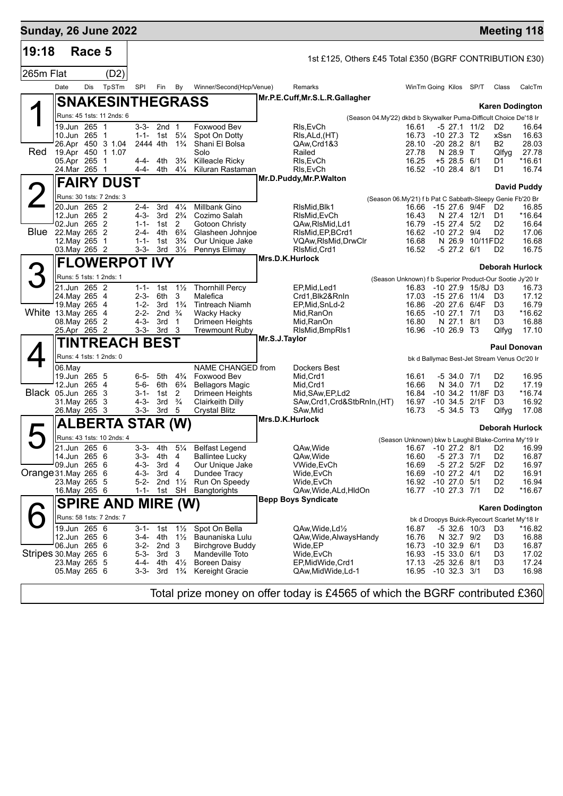| <b>Sunday, 26 June 2022</b> |                                            |               |                                        |                        |                          |                                  |                                                 |               |                                                                   |                                                                    |            |                                      |                   |                                                    | <b>Meeting 118</b>     |
|-----------------------------|--------------------------------------------|---------------|----------------------------------------|------------------------|--------------------------|----------------------------------|-------------------------------------------------|---------------|-------------------------------------------------------------------|--------------------------------------------------------------------|------------|--------------------------------------|-------------------|----------------------------------------------------|------------------------|
| 19:18                       |                                            | Race 5        |                                        |                        |                          |                                  |                                                 |               | 1st £125, Others £45 Total £350 (BGRF CONTRIBUTION £30)           |                                                                    |            |                                      |                   |                                                    |                        |
| 265m Flat                   |                                            |               | (D2)                                   |                        |                          |                                  |                                                 |               |                                                                   |                                                                    |            |                                      |                   |                                                    |                        |
|                             | Date                                       | Dis           | TpSTm                                  | SPI                    | Fin                      | By                               | Winner/Second(Hcp/Venue)                        |               | Remarks                                                           | WinTm Going Kilos                                                  |            |                                      | SP/T              | Class                                              | CalcTm                 |
|                             |                                            |               | <b>SNAKESINTHEGRASS</b>                |                        |                          |                                  |                                                 |               | Mr.P.E.Cuff, Mr.S.L.R.Gallagher                                   |                                                                    |            |                                      |                   |                                                    |                        |
|                             |                                            |               | Runs: 45 1sts: 11 2nds: 6              |                        |                          |                                  |                                                 |               | (Season 04.My'22) dkbd b Skywalker Puma-Difficult Choice De'18 Ir |                                                                    |            |                                      |                   |                                                    | <b>Karen Dodington</b> |
|                             |                                            | 19.Jun 265 1  |                                        |                        | $3-3-2nd$ 1              |                                  | Foxwood Bev                                     |               | RIs, EvCh                                                         | 16.61                                                              |            |                                      | -5 27.1 11/2      | D <sub>2</sub>                                     | 16.64                  |
|                             | 10.Jun 265 1                               |               |                                        | $1 - 1 -$              | 1st                      | $5\frac{1}{4}$                   | Spot On Dotty                                   |               | RIs, ALd, (HT)                                                    | 16.73                                                              |            | $-10$ 27.3 T <sub>2</sub>            |                   | xSsn                                               | 16.63                  |
| Red                         |                                            |               | 26.Apr 450 3 1.04<br>19.Apr 450 1 1.07 | 2444 4th               |                          | $1\frac{3}{4}$                   | Shani El Bolsa<br>Solo                          |               | QAw, Crd1&3<br>Railed                                             | 28.10<br>27.78                                                     |            | $-20$ 28.2 $8/1$<br>N 28.9 T         |                   | B2<br>Qlfyg                                        | 28.03<br>27.78         |
|                             | 05.Apr 265 1                               |               |                                        | 4-4- 4th               |                          | $3\frac{3}{4}$                   | Killeacle Ricky                                 |               | RIs, EvCh                                                         | 16.25                                                              |            | $+5$ 28.5 6/1                        |                   | D1                                                 | *16.61                 |
|                             |                                            | 24.Mar 265 1  |                                        | 4-4-                   | 4th                      | $4\frac{1}{4}$                   | Kiluran Rastaman                                |               | RIs, EvCh                                                         | 16.52 -10 28.4 8/1                                                 |            |                                      |                   | D1                                                 | 16.74                  |
|                             |                                            |               | <b>FAIRY DUST</b>                      |                        |                          |                                  |                                                 |               | Mr.D.Puddy, Mr.P. Walton                                          |                                                                    |            |                                      |                   |                                                    | David Puddy            |
|                             |                                            |               | Runs: 30 1sts: 7 2nds: 3               |                        |                          |                                  |                                                 |               | (Season 06.My'21) f b Pat C Sabbath-Sleepy Genie Fb'20 Br         |                                                                    |            |                                      |                   |                                                    |                        |
|                             | 20.Jun 265 2<br>12.Jun 265 2               |               |                                        | $2 - 4 -$<br>$4 - 3 -$ | 3rd                      | $4\frac{1}{4}$<br>$2\frac{3}{4}$ | Millbank Gino<br>Cozimo Salah                   |               | RIsMid, Blk1                                                      | 16.66 -15 27.6 9/4F                                                |            |                                      |                   | D <sub>2</sub>                                     | 16.85                  |
|                             | 02.Jun 265 2                               |               |                                        | $1 - 1 -$              | 3rd<br>1st               | 2                                | Gotoon Christy                                  |               | RIsMid, EvCh<br>QAw, RIsMid, Ld1                                  | 16.43<br>16.79                                                     |            | $-15$ 27.4 $5/2$                     | N 27.4 12/1       | D1<br>D <sub>2</sub>                               | *16.64<br>16.64        |
| Blue                        | 22. May 265 2                              |               |                                        | $2 - 4 -$              | 4th                      | $6\frac{3}{4}$                   | Glasheen Johnjoe                                |               | RIsMid, EP, BCrd1                                                 | 16.62                                                              |            | $-10$ 27.2 $9/4$                     |                   | D <sub>2</sub>                                     | 17.06                  |
|                             | 12. May 265 1<br>03. May 265 2             |               |                                        | $1 - 1 -$<br>$3 - 3 -$ | 1st<br>3rd               | $3\frac{3}{4}$<br>$3\frac{1}{2}$ | Our Unique Jake<br>Pennys Elimay                |               | VQAw,RIsMid,DrwClr<br>RIsMid, Crd1                                | 16.68<br>16.52                                                     |            | N 26.9<br>$-5$ 27.2 $6/1$            | 10/11FD2          | D <sub>2</sub>                                     | 16.68<br>16.75         |
|                             |                                            |               | <b>FLOWERPOT IVY</b>                   |                        |                          |                                  |                                                 |               | Mrs.D.K.Hurlock                                                   |                                                                    |            |                                      |                   |                                                    |                        |
|                             |                                            |               |                                        |                        |                          |                                  |                                                 |               |                                                                   |                                                                    |            |                                      |                   |                                                    | <b>Deborah Hurlock</b> |
|                             | 21.Jun 265 2                               |               | Runs: 5 1sts: 1 2nds: 1                | $1 - 1 -$              | 1st                      | $1\frac{1}{2}$                   | <b>Thornhill Percy</b>                          |               | EP, Mid, Led1                                                     | (Season Unknown) f b Superior Product-Our Sootie Jy'20 Ir<br>16.83 | -10 27.9   |                                      | 15/8J D3          |                                                    | 16.73                  |
|                             | 24. May 265 4                              |               |                                        | $2 - 3 -$              | 6th                      | 3                                | Malefica                                        |               | Crd1, Blk2&RnIn                                                   | 17.03                                                              | $-1527.6$  |                                      | 11/4              | D <sub>3</sub>                                     | 17.12                  |
|                             |                                            | 19. May 265 4 |                                        | $1 - 2 -$              | 3rd                      | $1\frac{3}{4}$                   | <b>Tintreach Niamh</b>                          |               | EP,Mid,SnLd-2                                                     | 16.86                                                              |            |                                      | -20 27.6 6/4F     | D <sub>3</sub>                                     | 16.79                  |
| White 13. May 265 4         | 08. May 265 2                              |               |                                        | $2 - 2 -$<br>4-3-      | 2nd $\frac{3}{4}$<br>3rd | $\mathbf{1}$                     | Wacky Hacky<br>Drimeen Heights                  |               | Mid,RanOn<br>Mid,RanOn                                            | 16.65<br>16.80                                                     | $-10$ 27.1 | N 27.1                               | 7/1<br>8/1        | D <sub>3</sub><br>D3                               | *16.62<br>16.88        |
|                             |                                            | 25.Apr 265 2  |                                        | $3 - 3 -$              | 3rd                      | - 3                              | <b>Trewmount Ruby</b>                           |               | RIsMid, BmpRIs1                                                   | 16.96 -10 26.9 T3                                                  |            |                                      |                   | Qlfyg                                              | 17.10                  |
|                             |                                            |               | TINTREACH BEST                         |                        |                          |                                  |                                                 | Mr.S.J.Taylor |                                                                   |                                                                    |            |                                      |                   |                                                    | <b>Paul Donovan</b>    |
|                             |                                            |               | Runs: 4 1sts: 1 2nds: 0                |                        |                          |                                  |                                                 |               |                                                                   |                                                                    |            |                                      |                   | bk d Ballymac Best-Jet Stream Venus Oc'20 Ir       |                        |
|                             | 06.May                                     |               |                                        |                        |                          |                                  | <b>NAME CHANGED from</b>                        |               | Dockers Best                                                      |                                                                    |            |                                      |                   |                                                    |                        |
|                             | 19.Jun 265 5                               | 12.Jun 265 4  |                                        | $6 - 5 -$<br>$5-6-$    | 5th<br>6th               | $4\frac{3}{4}$<br>$6\frac{3}{4}$ | Foxwood Bev                                     |               | Mid, Crd1<br>Mid, Crd1                                            | 16.61<br>16.66                                                     |            | -5 34.0 7/1<br>N 34.0 7/1            |                   | D <sub>2</sub><br>D <sub>2</sub>                   | 16.95<br>17.19         |
| Black 05.Jun 265 3          |                                            |               |                                        | $3 - 1 -$              | 1st                      | 2                                | <b>Bellagors Magic</b><br>Drimeen Heights       |               | Mid, SAw, EP, Ld2                                                 | 16.84                                                              |            |                                      | -10 34.2 11/8F D3 |                                                    | *16.74                 |
|                             |                                            | 31. May 265 3 |                                        | 4-3-                   | 3rd                      | $\frac{3}{4}$                    | Clairkeith Dilly                                |               | SAw, Crd1, Crd&StbRnIn, (HT)                                      | 16.97                                                              |            |                                      | $-10$ 34.5 $2/1F$ | D <sub>3</sub>                                     | 16.92                  |
|                             | 26. May 265 3                              |               |                                        | 3-3-                   | 3rd                      | 5                                | <b>Crystal Blitz</b>                            |               | SAw, Mid<br>Mrs.D.K.Hurlock                                       | 16.73                                                              |            | -5 34.5 T3                           |                   | Qlfyg                                              | 17.08                  |
|                             |                                            |               | <b>ALBERTA STAR (W)</b>                |                        |                          |                                  |                                                 |               |                                                                   |                                                                    |            |                                      |                   |                                                    | <b>Deborah Hurlock</b> |
|                             |                                            |               | Runs: 43 1sts: 10 2nds: 4              |                        |                          |                                  |                                                 |               |                                                                   | (Season Unknown) bkw b Laughil Blake-Corrina My'19 Ir              |            |                                      |                   |                                                    |                        |
|                             | $\overline{21}$ .Jun 265 6<br>14.Jun 265 6 |               |                                        | $3 - 3 -$<br>$3 - 3 -$ | 4th<br>4th               | $5\frac{1}{4}$<br>4              | <b>Belfast Legend</b><br><b>Ballintee Lucky</b> |               | QAw, Wide<br>QAw, Wide                                            | 16.60                                                              |            | -5 27.3 7/1                          |                   | 16.67 -10 27.2 8/1 D2<br>D <sub>2</sub>            | 16.99<br>16.87         |
|                             | 09.Jun 265 6                               |               |                                        | $4 - 3 -$              | 3rd                      | 4                                | Our Unique Jake                                 |               | VWide, EvCh                                                       | 16.69                                                              |            |                                      | -5 27.2 5/2F      | D <sub>2</sub>                                     | 16.97                  |
| Orange 31. May 265 6        |                                            |               |                                        | $4 - 3 -$              | 3rd                      | -4                               | Dundee Tracy                                    |               | Wide,EvCh                                                         | 16.69                                                              |            | $-10$ 27.2 $4/1$                     |                   | D <sub>2</sub>                                     | 16.91                  |
|                             | 23. May 265 5<br>16. May 265 6             |               |                                        | $5-2-$<br>$1 - 1 -$    |                          | 2nd $1\frac{1}{2}$<br>1st SH     | Run On Speedy<br><b>Bangtorights</b>            |               | Wide,EvCh<br>QAw, Wide, ALd, HIdOn                                | 16.92<br>16.77                                                     |            | $-10$ 27.0 $5/1$<br>$-10$ 27.3 $7/1$ |                   | D <sub>2</sub><br>D <sub>2</sub>                   | 16.94<br>*16.67        |
|                             |                                            |               | <b>SPIRE AND MIRE (W)</b>              |                        |                          |                                  |                                                 |               | <b>Bepp Boys Syndicate</b>                                        |                                                                    |            |                                      |                   |                                                    |                        |
|                             |                                            |               |                                        |                        |                          |                                  |                                                 |               |                                                                   |                                                                    |            |                                      |                   |                                                    | <b>Karen Dodington</b> |
|                             |                                            | 19.Jun 265 6  | Runs: 58 1sts: 7 2nds: 7               | $3 - 1 -$              | 1st                      | $1\frac{1}{2}$                   | Spot On Bella                                   |               | QAw,Wide,Ld½                                                      | 16.87                                                              |            |                                      | $-5$ 32.6 10/3    | bk d Droopys Buick-Ryecourt Scarlet My'18 Ir<br>D3 | *16.82                 |
|                             | 12.Jun 265 6                               |               |                                        | $3-4-$                 | 4th                      | $1\frac{1}{2}$                   | Baunaniska Lulu                                 |               | QAw, Wide, Always Handy                                           | 16.76                                                              |            | N 32.7 9/2                           |                   | D <sub>3</sub>                                     | 16.88                  |
|                             |                                            | 06.Jun 265 6  |                                        | $3-2-$                 | 2nd <sub>3</sub>         |                                  | <b>Birchgrove Buddy</b>                         |               | Wide,EP                                                           | 16.73                                                              |            | $-10$ 32.9 $6/1$                     |                   | D <sub>3</sub>                                     | 16.87                  |
| Stripes 30. May 265 6       |                                            |               |                                        | $5 - 3 -$<br>$4 - 4 -$ | 3rd<br>4th               | 3<br>$4\frac{1}{2}$              | Mandeville Toto                                 |               | Wide, EvCh<br>EP, Mid Wide, Crd1                                  | 16.93<br>17.13                                                     |            | $-1533.06/1$<br>$-2532.68/1$         |                   | D <sub>3</sub><br>D <sub>3</sub>                   | 17.02<br>17.24         |
|                             | 23. May 265 5<br>05. May 265 6             |               |                                        | $3 - 3 -$              | 3rd                      | $1\frac{3}{4}$                   | Boreen Daisy<br>Kereight Gracie                 |               | QAw,MidWide,Ld-1                                                  | 16.95                                                              |            | $-10$ 32.3 3/1                       |                   | D <sub>3</sub>                                     | 16.98                  |
|                             |                                            |               |                                        |                        |                          |                                  |                                                 |               |                                                                   |                                                                    |            |                                      |                   |                                                    |                        |

Total prize money on offer today is £4565 of which the BGRF contributed £360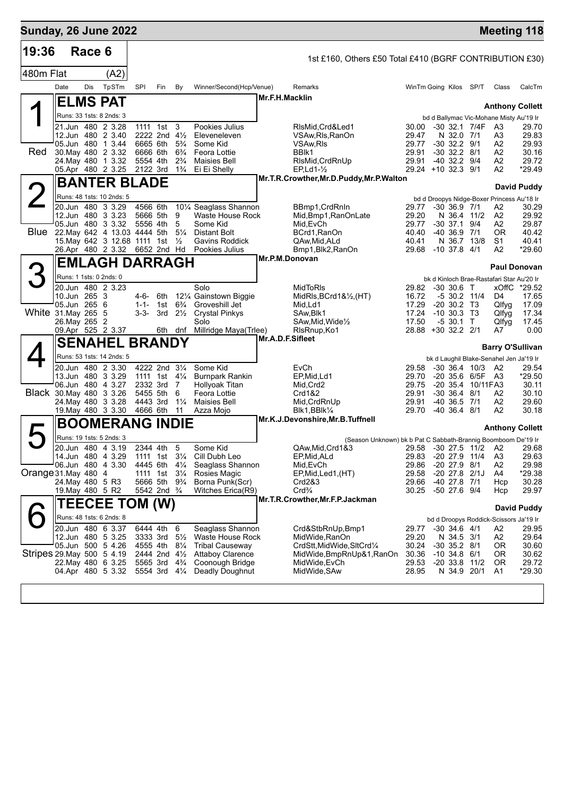| <b>Sunday, 26 June 2022</b> |                              |        |                                                                   |                       |                                       |                                  |                                                   |                                                                    |                             |                                      |                   | <b>Meeting 118</b>                               |                    |
|-----------------------------|------------------------------|--------|-------------------------------------------------------------------|-----------------------|---------------------------------------|----------------------------------|---------------------------------------------------|--------------------------------------------------------------------|-----------------------------|--------------------------------------|-------------------|--------------------------------------------------|--------------------|
| 19:36                       |                              | Race 6 |                                                                   |                       |                                       |                                  |                                                   | 1st £160, Others £50 Total £410 (BGRF CONTRIBUTION £30)            |                             |                                      |                   |                                                  |                    |
| 480m Flat                   |                              |        | (A2)                                                              |                       |                                       |                                  |                                                   |                                                                    |                             |                                      |                   |                                                  |                    |
|                             | Date                         | Dis    | TpSTm                                                             | SPI                   | Fin                                   | By                               | Winner/Second(Hcp/Venue)                          | Remarks                                                            | WinTm Going Kilos SP/T      |                                      |                   | Class                                            | CalcTm             |
|                             |                              |        | ∣ELMS PAT                                                         |                       |                                       |                                  |                                                   | Mr.F.H.Macklin                                                     |                             |                                      |                   |                                                  |                    |
|                             |                              |        | Runs: 33 1sts: 8 2nds: 3                                          |                       |                                       |                                  |                                                   |                                                                    |                             |                                      |                   | <b>Anthony Collett</b>                           |                    |
|                             |                              |        | 21.Jun 480 2 3.28                                                 |                       | 1111 1st 3                            |                                  | Pookies Julius                                    | RIsMid, Crd&Led1                                                   | 30.00                       |                                      | -30 32.1 7/4F A3  | bd d Ballymac Vic-Mohane Misty Au'19 Ir          | 29.70              |
|                             |                              |        | 12.Jun 480 2 3.40                                                 |                       | 2222 2nd 41/2<br>6665 6th             |                                  | Eleveneleven<br>Some Kid                          | VSAw, RIs, RanOn                                                   | 29.47                       | N 32.0 7/1                           |                   | A3                                               | 29.83              |
| <b>Red</b>                  |                              |        | 05.Jun 480 1 3.44<br>30. May 480 2 3.32                           | 6666 6th              |                                       | $5\frac{3}{4}$<br>$6\frac{3}{4}$ | Feora Lottie                                      | VSAw,RIs<br>BBIK1                                                  | 29.77<br>29.91              | $-30$ 32.2 $9/1$<br>$-30$ 32.2 $8/1$ |                   | A2<br>A2                                         | 29.93<br>30.16     |
|                             |                              |        | 24. May 480 1 3.32                                                | 5554 4th              |                                       | $2\frac{3}{4}$                   | <b>Maisies Bell</b>                               | RIsMid, CrdRnUp                                                    | 29.91                       | $-40$ 32.2 $9/4$                     |                   | A2                                               | 29.72              |
|                             |                              |        | 05.Apr 480 2 3.25                                                 | 2122 3rd              |                                       | $1\frac{3}{4}$                   | Ei Ei Shelly                                      | $EP, Ld1-\frac{1}{2}$<br>Mr.T.R.Crowther, Mr.D.Puddy, Mr.P. Walton | 29.24 +10 32.3 9/1          |                                      |                   | A2                                               | *29.49             |
|                             |                              |        | <b>BANTER BLADE</b>                                               |                       |                                       |                                  |                                                   |                                                                    |                             |                                      |                   |                                                  | David Puddy        |
|                             |                              |        | Runs: 48 1sts: 10 2nds: 5<br>20.Jun 480 3 3.29                    | 4566 6th              |                                       |                                  | 101/4 Seaglass Shannon                            | BBmp1, CrdRnIn                                                     | 29.77                       | $-30, 36.9, 7/1$                     |                   | bd d Droopys Nidge-Boxer Princess Au'18 Ir<br>A2 | 30.29              |
|                             |                              |        | 12.Jun 480 3 3.23                                                 | 5666 5th              |                                       | 9                                | Waste House Rock                                  | Mid, Bmp1, RanOnLate                                               | 29.20                       | N 36.4 11/2                          |                   | A2                                               | 29.92              |
|                             |                              |        | 05.Jun 480 3 3.32                                                 | 5556 4th              |                                       | 5                                | Some Kid                                          | Mid, EvCh                                                          | 29.77                       | -30 37.1                             | 9/4               | A2                                               | 29.87              |
|                             |                              |        | Blue 22. May 642 4 13.03 4444 5th<br>15. May 642 3 12.68 1111 1st |                       |                                       | $5\frac{1}{4}$<br>$\frac{1}{2}$  | Distant Bolt<br>Gavins Roddick                    | BCrd1, RanOn<br>QAw, Mid, ALd                                      | 40.40<br>40.41              | $-40, 36.9, 7/1$<br>N 36.7 13/8      |                   | 0R<br>S <sub>1</sub>                             | 40.42<br>40.41     |
|                             |                              |        | 26.Apr 480 2 3.32 6652 2nd Hd                                     |                       |                                       |                                  | Pookies Julius                                    | Bmp1, Blk2, RanOn                                                  | 29.68 -10 37.8 4/1          |                                      |                   | A2                                               | *29.60             |
|                             |                              |        | <b>EMLAGH DARRAGH</b>                                             |                       |                                       |                                  |                                                   | Mr.P.M.Donovan                                                     |                             |                                      |                   | <b>Paul Donovan</b>                              |                    |
|                             |                              |        | Runs: 1 1sts: 0 2nds: 0                                           |                       |                                       |                                  |                                                   |                                                                    |                             |                                      |                   | bk d Kinloch Brae-Rastafari Star Au'20 Ir        |                    |
|                             |                              |        | 20.Jun 480 2 3.23                                                 |                       |                                       |                                  | Solo                                              | MidToRIs                                                           | 29.82                       | $-30,30.6$ T                         |                   |                                                  | xOffC *29.52       |
|                             | 10.Jun 265 3<br>05.Jun 265 6 |        |                                                                   | 4-6- 6th<br>$1 - 1 -$ | 1st                                   | $6\frac{3}{4}$                   | 121/4 Gainstown Biggie<br>Groveshill Jet          | MidRIs, BCrd1& $\frac{1}{2}$ , (HT)<br>Mid,Ld1                     | 16.72<br>17.29              | $-20$ 30.2 T3                        | $-5$ 30.2 11/4    | D4<br>Qlfyg                                      | 17.65<br>17.09     |
| White 31. May 265 5         |                              |        |                                                                   | 3-3-                  | 3rd                                   | $2\frac{1}{2}$                   | <b>Crystal Pinkys</b>                             | SAw, Blk1                                                          | 17.24                       | $-10, 30.3, T3$                      |                   | Qlfyg                                            | 17.34              |
|                             | 26.May 265 2                 |        | 09.Apr 525 2 3.37                                                 |                       |                                       | 6th dnf                          | Solo<br>Millridge Maya(Trlee)                     | SAw,Mid,Wide½<br>RIsRnup, Ko1                                      | 17.50<br>28.88 +30 32.2 2/1 | $-530.1$ T                           |                   | Qlfyg<br>A7                                      | 17.45<br>0.00      |
|                             |                              |        | <b>SENAHEL BRANDY</b>                                             |                       |                                       |                                  |                                                   | Mr.A.D.F.Sifleet                                                   |                             |                                      |                   |                                                  |                    |
|                             |                              |        | Runs: 53 1sts: 14 2nds: 5                                         |                       |                                       |                                  |                                                   |                                                                    |                             |                                      |                   | <b>Barry O'Sullivan</b>                          |                    |
|                             |                              |        | 20.Jun 480 2 3.30                                                 |                       | 4222 2nd 31/4                         |                                  | Some Kid                                          | EvCh                                                               | 29.58                       |                                      | $-30, 36.4, 10/3$ | bk d Laughil Blake-Senahel Jen Ja'19 Ir<br>- A2  | 29.54              |
|                             |                              |        | 13.Jun 480 3 3.29                                                 |                       | 1111 1st $4\frac{1}{4}$               |                                  | <b>Burnpark Rankin</b>                            | EP, Mid, Ld1                                                       | 29.70                       |                                      | -20 35.6 6/5F A3  |                                                  | *29.50             |
| Black 30. May 480 3 3.26    |                              |        | 06.Jun 480 4 3.27                                                 | 2332 3rd<br>5455 5th  |                                       | 7<br>6                           | Hollyoak Titan<br>Feora Lottie                    | Mid, Crd2<br>Crd1&2                                                | 29.75<br>29.91              | $-30$ 36.4 $8/1$                     | -20 35.4 10/11FA3 | A2                                               | 30.11<br>30.10     |
|                             |                              |        | 24. May 480 3 3.28                                                | 4443 3rd              |                                       | $1\frac{1}{4}$                   | <b>Maisies Bell</b>                               | Mid, CrdRnUp                                                       | 29.91                       | -40 36.5 7/1                         |                   | A2                                               | 29.60              |
|                             |                              |        | 19. May 480 3 3.30                                                | 4666 6th              |                                       | 11                               | Azza Mojo                                         | Blk1,BBlk¼<br>Mr.K.J.Devonshire, Mr.B.Tuffnell                     | 29.70                       | $-40, 36.4, 8/1$                     |                   | A2                                               | 30.18              |
|                             |                              |        | <b>BOOMERANG INDIE</b>                                            |                       |                                       |                                  |                                                   |                                                                    |                             |                                      |                   | <b>Anthony Collett</b>                           |                    |
|                             |                              |        | Runs: 19 1sts: 5 2nds: 3                                          |                       |                                       |                                  |                                                   | (Season Unknown) bk b Pat C Sabbath-Brannig Boomboom De'19 Ir      |                             |                                      |                   |                                                  |                    |
|                             |                              |        | 20.Jun 480 4 3.19<br>14.Jun 480 4 3.29                            |                       | 2344 4th<br>1111 1st 31/ <sub>4</sub> | 5                                | Some Kid<br>Cill Dubh Leo                         | QAw, Mid, Crd1&3<br>EP, Mid, ALd                                   | 29.83                       | $-20$ 27.9 $11/4$                    |                   | 29.58 -30 27.5 11/2 A2<br>A <sub>3</sub>         | 29.68<br>29.63     |
|                             |                              |        | 06.Jun 480 4 3.30                                                 | 4445 6th              |                                       | $4\frac{1}{4}$                   | Seaglass Shannon                                  | Mid,EvCh                                                           | 29.86                       | $-20$ 27.9 $8/1$                     |                   | A <sub>2</sub>                                   | 29.98              |
| Orange 31. May 480 4        | 24. May 480 5 R3             |        |                                                                   |                       | 1111 1st<br>5666 5th 9%               | $3\frac{1}{4}$                   | Rosies Magic<br>Borna Punk(Scr)                   | EP, Mid, Led 1, (HT)<br>Crd2&3                                     | 29.58<br>29.66              | $-20\,27.8$<br>-40 27.8 7/1          | 2/1J              | A4<br>Hcp                                        | *29.38<br>30.28    |
|                             | 19. May 480 5 R2             |        |                                                                   |                       | 5542 2nd <sup>3</sup> / <sub>4</sub>  |                                  | Witches Erica(R9)                                 | $Crd\frac{3}{4}$                                                   | 30.25                       | -50 27.6 9/4                         |                   | Hcp                                              | 29.97              |
|                             |                              |        | <b>TEECEE TOM (W)</b>                                             |                       |                                       |                                  |                                                   | Mr.T.R.Crowther, Mr.F.P.Jackman                                    |                             |                                      |                   |                                                  |                    |
|                             |                              |        | Runs: 48 1sts: 6 2nds: 8                                          |                       |                                       |                                  |                                                   |                                                                    |                             |                                      |                   | bd d Droopys Roddick-Scissors Ja'19 Ir           | <b>David Puddy</b> |
|                             |                              |        | 20.Jun 480 6 3.37                                                 | 6444 4th              |                                       | 6                                | Seaglass Shannon                                  | Crd&StbRnUp,Bmp1                                                   | 29.77                       | $-30$ 34.6 $4/1$                     |                   | A2                                               | 29.95              |
|                             |                              |        | 12.Jun 480 5 3.25                                                 | 3333 3rd              |                                       | $5\frac{1}{2}$                   | Waste House Rock                                  | MidWide, RanOn                                                     | 29.20                       | N 34.5 3/1                           |                   | A <sub>2</sub>                                   | 29.64              |
| Stripes 29 May 500 5 4.19   |                              |        | 05.Jun 500 5 4.26                                                 | 4555 4th              | 2444 2nd 41/2                         | $8\frac{1}{4}$                   | <b>Tribal Causeway</b><br><b>Attaboy Clarence</b> | CrdStt,MidWide,SItCrd1/4<br>MidWide,BmpRnUp&1,RanOn                | 30.24<br>30.36              | $-30$ 35.2 $8/1$<br>$-10, 34.8$      | 6/1               | 0R<br>0R                                         | 30.60<br>30.62     |
|                             |                              |        | 22. May 480 6 3.25                                                |                       | 5565 3rd                              | $4\frac{3}{4}$                   | Coonough Bridge                                   | MidWide, EvCh                                                      | 29.53                       | $-2033.8$                            | 11/2              | 0R                                               | 29.72              |
|                             |                              |        | 04.Apr 480 5 3.32                                                 |                       | 5554 3rd 41/4                         |                                  | Deadly Doughnut                                   | MidWide, SAw                                                       | 28.95                       | N 34.9 20/1                          |                   | A1                                               | *29.30             |
|                             |                              |        |                                                                   |                       |                                       |                                  |                                                   |                                                                    |                             |                                      |                   |                                                  |                    |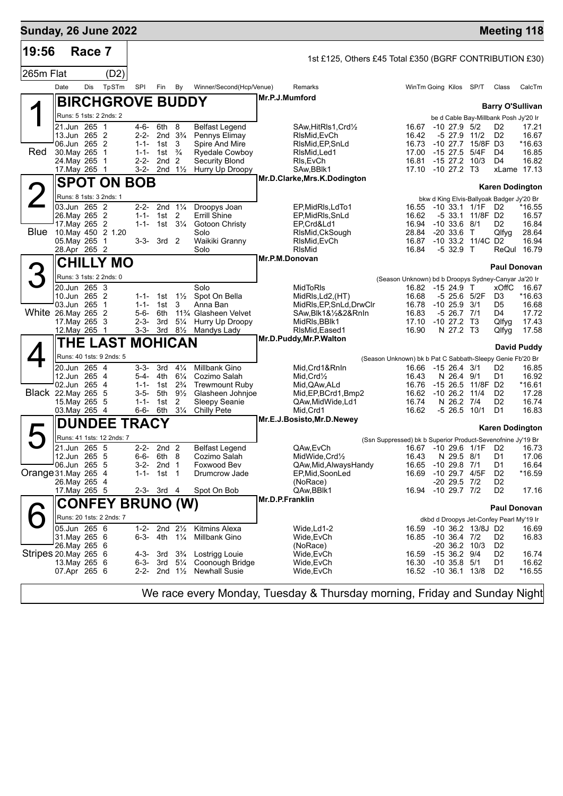| <b>Sunday, 26 June 2022</b> |      |                                |                           |                         |                                |                                  |                                                |                 |                                                         |                                                             |                                  |                                            |                                             | <b>Meeting 118</b> |
|-----------------------------|------|--------------------------------|---------------------------|-------------------------|--------------------------------|----------------------------------|------------------------------------------------|-----------------|---------------------------------------------------------|-------------------------------------------------------------|----------------------------------|--------------------------------------------|---------------------------------------------|--------------------|
| 19:56                       |      | Race 7                         |                           |                         |                                |                                  |                                                |                 | 1st £125, Others £45 Total £350 (BGRF CONTRIBUTION £30) |                                                             |                                  |                                            |                                             |                    |
| 265m Flat                   |      |                                | (D2)                      |                         |                                |                                  |                                                |                 |                                                         |                                                             |                                  |                                            |                                             |                    |
|                             | Date | Dis                            | TpSTm                     | SPI                     | Fin                            | By                               | Winner/Second(Hcp/Venue)                       |                 | Remarks                                                 | WinTm Going Kilos SP/T                                      |                                  |                                            | Class                                       | CalcTm             |
|                             |      |                                |                           | <b>BIRCHGROVE BUDDY</b> |                                |                                  |                                                | Mr.P.J.Mumford  |                                                         |                                                             |                                  |                                            |                                             |                    |
|                             |      |                                | Runs: 5 1sts: 2 2nds: 2   |                         |                                |                                  |                                                |                 |                                                         |                                                             |                                  |                                            | <b>Barry O'Sullivan</b>                     |                    |
|                             |      | 21.Jun 265 1                   |                           | 4-6-                    | 6th                            | 8                                | <b>Belfast Legend</b>                          |                 | SAw, HitRIs1, Crd1/2                                    | 16.67                                                       | $-10$ 27.9 $5/2$                 |                                            | be d Cable Bay-Millbank Posh Jy'20 Ir<br>D2 | 17.21              |
|                             |      | 13.Jun 265 2                   |                           | 2-2-                    |                                | 2nd $3\frac{3}{4}$               | Pennys Elimay                                  |                 | RIsMid, EvCh                                            | 16.42                                                       |                                  | -5 27.9 11/2                               | D <sub>2</sub>                              | 16.67              |
| Red                         |      | 06.Jun 265 2<br>30. May 265 1  |                           | $1 - 1 -$<br>$1 - 1 -$  | 1st<br>1st                     | 3<br>$\frac{3}{4}$               | Spire And Mire<br><b>Ryedale Cowboy</b>        |                 | RIsMid, EP, SnLd<br>RIsMid, Led1                        | 16.73<br>17.00                                              | $-1527.5$                        | $-10$ 27.7 15/8F D3<br>5/4F                | D4                                          | $*16.63$<br>16.85  |
|                             |      | 24. May 265 1                  |                           | $2 - 2 -$               | 2nd                            | 2                                | <b>Security Blond</b>                          |                 | RIs, EvCh                                               | 16.81                                                       | $-1527.2$                        | 10/3                                       | D4                                          | 16.82              |
|                             |      | 17. May 265 1                  |                           | 3-2-                    |                                | 2nd $1\frac{1}{2}$               | Hurry Up Droopy                                |                 | SAw, BBlk1<br>Mr.D.Clarke, Mrs.K.Dodington              | 17.10 -10 27.2 T3                                           |                                  |                                            |                                             | xLame 17.13        |
|                             |      |                                |                           | <b>SPOT ON BOB</b>      |                                |                                  |                                                |                 |                                                         |                                                             |                                  |                                            | <b>Karen Dodington</b>                      |                    |
|                             |      | 03.Jun 265 2                   | Runs: 8 1sts: 3 2nds: 1   |                         |                                | 2-2- 2nd $1\frac{1}{4}$          |                                                |                 |                                                         |                                                             |                                  |                                            | bkw d King Elvis-Ballyoak Badger Jy'20 Br   |                    |
|                             |      | 26. May 265 2                  |                           | $1 - 1 -$               | 1st $2$                        |                                  | Droopys Joan<br>Errill Shine                   |                 | EP, MidRIs, LdTo1<br>EP, MidRIs, SnLd                   | 16.62                                                       |                                  | 16.55 -10 33.1 1/1F D2<br>-5 33.1 11/8F D2 |                                             | *16.55<br>16.57    |
| Blue                        |      | 17. May 265 2                  |                           | $1 - 1 -$               |                                | 1st 3¼                           | Gotoon Christy                                 |                 | EP,Crd&Ld1                                              | 16.94                                                       | $-10$ 33.6 $8/1$                 |                                            | D2                                          | 16.84              |
|                             |      | 05. May 265 1                  | 10. May 450 2 1.20        | 3-3-                    | 3rd <sub>2</sub>               |                                  | Solo<br>Waikiki Granny                         |                 | RIsMid, CkSough<br>RIsMid, EvCh                         | 28.84<br>16.87                                              | $-20, 33.6$ T                    | -10 33.2 11/4C D2                          | Qlfyg                                       | 28.64<br>16.94     |
|                             |      | 28.Apr 265 2                   |                           |                         |                                |                                  | Solo                                           |                 | <b>RIsMid</b>                                           | 16.84                                                       | $-532.9$ T                       |                                            |                                             | ReQul 16.79        |
|                             |      |                                | <b>CHILLY MO</b>          |                         |                                |                                  |                                                |                 | Mr.P.M.Donovan                                          |                                                             |                                  |                                            | <b>Paul Donovan</b>                         |                    |
|                             |      |                                | Runs: 3 1sts: 2 2nds: 0   |                         |                                |                                  |                                                |                 |                                                         | (Season Unknown) bd b Droopys Sydney-Canyar Ja'20 Ir        |                                  |                                            |                                             |                    |
|                             |      | 20.Jun 265 3<br>10.Jun 265 2   |                           | $1 - 1 -$               |                                | $1\frac{1}{2}$                   | Solo<br>Spot On Bella                          |                 | <b>MidToRIs</b><br>MidRls, Ld2, (HT)                    | 16.82<br>16.68                                              | $-1524.9$ T                      | -5 25.6 5/2F                               | <b>xOffC</b><br>D <sub>3</sub>              | 16.67<br>*16.63    |
|                             |      | 03.Jun 265                     | - 1                       | $1 - 1 -$               | 1st<br>1st                     | 3                                | Anna Ban                                       |                 | MidRIs, EP, SnLd, DrwClr                                | 16.78                                                       | $-10$ 25.9 $3/1$                 |                                            | D5                                          | 16.68              |
| White 26.May 265 2          |      |                                |                           | 5-6-                    | 6th                            |                                  | 11 <sup>3</sup> / <sub>4</sub> Glasheen Velvet |                 | SAw,Blk1&½&2&RnIn                                       | 16.83                                                       | $-5$ 26.7 $7/1$                  |                                            | D4                                          | 17.72              |
|                             |      | 17. May 265 3<br>12. May 265 1 |                           |                         | $2-3-3rd$                      | $5\frac{1}{4}$                   | Hurry Up Droopy<br>3-3- 3rd 81/2 Mandys Lady   |                 | MidRIs, BBIk1<br>RIsMid, Eased 1                        | 17.10 -10 27.2 T3<br>16.90                                  | N 27.2 T3                        |                                            | Qlfyg<br>Qlfyg                              | 17.43<br>17.58     |
|                             |      |                                |                           | <b>THE LAST MOHICAN</b> |                                |                                  |                                                |                 | Mr.D.Puddy, Mr.P. Walton                                |                                                             |                                  |                                            |                                             | <b>David Puddy</b> |
|                             |      |                                | Runs: 40 1sts: 9 2nds: 5  |                         |                                |                                  |                                                |                 |                                                         | (Season Unknown) bk b Pat C Sabbath-Sleepy Genie Fb'20 Br   |                                  |                                            |                                             |                    |
|                             |      | 20.Jun 265 4                   |                           | $3 - 3 -$               | 3rd                            | $4\frac{1}{4}$                   | Millbank Gino                                  |                 | Mid, Crd1&RnIn                                          | 16.66                                                       | $-1526.43/1$                     |                                            | D2                                          | 16.85              |
|                             |      | 12.Jun 265 4<br>02.Jun 265 4   |                           | 5-4-<br>$1 - 1 -$       | 4th<br>1st                     | $6\frac{1}{4}$<br>$2\frac{3}{4}$ | Cozimo Salah<br><b>Trewmount Ruby</b>          |                 | $Mid.Crd\frac{1}{2}$<br>Mid, QAw, ALd                   | 16.43<br>16.76                                              | N 26.4 9/1                       | -15 26.5 11/8F D2                          | D1                                          | 16.92<br>*16.61    |
| Black 22. May 265 5         |      |                                |                           | 3-5-                    | 5th                            | $9\frac{1}{2}$                   | Glasheen Johnjoe                               |                 | Mid, EP, BCrd1, Bmp2                                    | 16.62                                                       | $-1026.2$                        | 11/4                                       | D <sub>2</sub>                              | 17.28              |
|                             |      | 15. May 265 5<br>03. May 265 4 |                           | $1 - 1 -$<br>6-6-       | 1st<br>6th                     | 2<br>$3\frac{1}{4}$              | <b>Sleepy Seanie</b><br>Chilly Pete            |                 | QAw, Mid Wide, Ld1<br>Mid, Crd1                         | 16.74<br>16.62                                              | N 26.2 7/4<br>-5 26.5            | 10/1                                       | D <sub>2</sub><br>D1                        | 16.74<br>16.83     |
|                             |      |                                |                           | <b>DUNDEE TRACY</b>     |                                |                                  |                                                |                 | Mr.E.J.Bosisto, Mr.D.Newey                              |                                                             |                                  |                                            |                                             |                    |
|                             |      |                                |                           |                         |                                |                                  |                                                |                 |                                                         |                                                             |                                  |                                            | <b>Karen Dodington</b>                      |                    |
|                             |      | $21.$ Jun 265 5                | Runs: 41 1sts: 12 2nds: 7 | $2 - 2 -$               | 2nd <sub>2</sub>               |                                  | <b>Belfast Legend</b>                          |                 | QAw, EvCh                                               | (Ssn Suppressed) bk b Superior Product-Sevenofnine Jy'19 Br |                                  | 16.67 -10 29.6 1/1F D2                     |                                             | 16.73              |
|                             |      | 12.Jun 265 5                   |                           | 6-6-                    | 6th                            | -8                               | Cozimo Salah                                   |                 | MidWide, Crd1/2                                         | 16.43                                                       | N 29.5 8/1                       |                                            | D <sub>1</sub>                              | 17.06              |
| Orange 31. May 265 4        |      | 06.Jun 265 5                   |                           | $3-2-$<br>$1 - 1 -$     | 2nd <sub>1</sub><br>1st        | $\overline{1}$                   | Foxwood Bev<br>Drumcrow Jade                   |                 | QAw, Mid, Always Handy<br>EP, Mid, SoonLed              | 16.65<br>16.69                                              | $-10$ 29.8 $7/1$                 | -10 29.7 4/5F                              | D1<br>D <sub>2</sub>                        | 16.64<br>$*16.59$  |
|                             |      | 26. May 265 4                  |                           |                         |                                |                                  |                                                |                 | (NoRace)                                                |                                                             | $-20$ 29.5 $7/2$                 |                                            | D <sub>2</sub>                              |                    |
|                             |      | 17. May 265 5                  |                           | 2-3-                    | 3rd 4                          |                                  | Spot On Bob                                    | Mr.D.P.Franklin | QAw, BBlk1                                              | 16.94                                                       | $-10$ 29.7 $7/2$                 |                                            | D <sub>2</sub>                              | 17.16              |
|                             |      |                                |                           | <b>CONFEY BRUNO (W)</b> |                                |                                  |                                                |                 |                                                         |                                                             |                                  |                                            | Paul Donovan                                |                    |
|                             |      |                                | Runs: 20 1sts: 2 2nds: 7  |                         |                                |                                  |                                                |                 |                                                         |                                                             |                                  |                                            | dkbd d Droopys Jet-Confey Pearl My'19 Ir    |                    |
|                             |      | 05.Jun 265 6<br>31. May 265 6  |                           | 6-3-                    | 1-2- 2nd $2\frac{1}{2}$<br>4th | $1\frac{1}{4}$                   | <b>Kitmins Alexa</b><br>Millbank Gino          |                 | Wide, Ld1-2<br>Wide, EvCh                               | 16.59<br>16.85 -10 36.4 7/2                                 |                                  | -10 36.2 13/8J D2                          | D <sub>2</sub>                              | 16.69<br>16.83     |
|                             |      | 26. May 265 6                  |                           |                         |                                |                                  |                                                |                 | (NoRace)                                                |                                                             |                                  | $-20$ 36.2 $10/3$                          | D <sub>2</sub>                              |                    |
| Stripes 20 May 265 6        |      | 13. May 265 6                  |                           | 4-3-<br>$6 - 3 -$       | 3rd<br>3rd                     | $3\frac{3}{4}$<br>$5\frac{1}{4}$ | Lostrigg Louie<br>Coonough Bridge              |                 | Wide,EvCh<br>Wide, EvCh                                 | 16.59<br>16.30                                              | $-1536.29/4$<br>$-10$ 35.8 $5/1$ |                                            | D <sub>2</sub><br>D1                        | 16.74<br>16.62     |
|                             |      | 07.Apr 265 6                   |                           | 2-2-                    |                                | 2nd $1\frac{1}{2}$               | <b>Newhall Susie</b>                           |                 | Wide, EvCh                                              | 16.52 -10 36.1 13/8                                         |                                  |                                            | D <sub>2</sub>                              | $*16.55$           |
|                             |      |                                |                           |                         |                                |                                  |                                                |                 |                                                         |                                                             |                                  |                                            |                                             |                    |

We race every Monday, Tuesday & Thursday morning, Friday and Sunday Night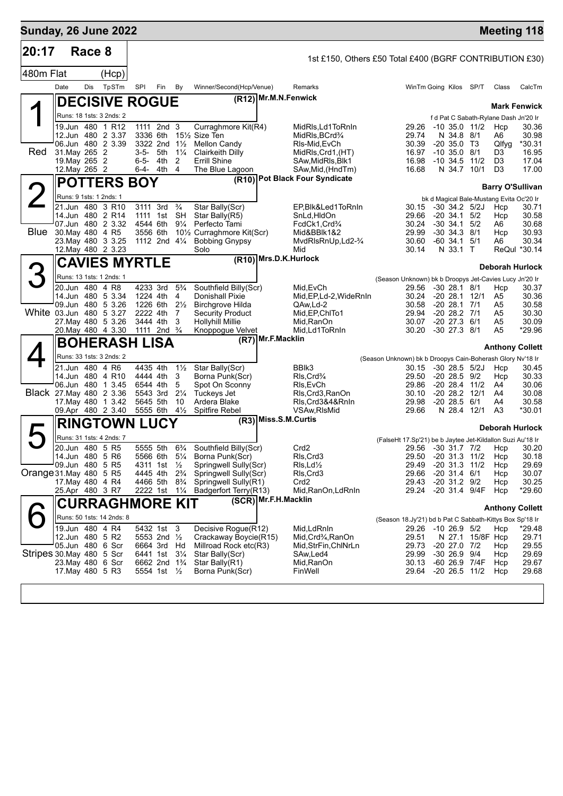| <b>Sunday, 26 June 2022</b> |                                                                                                 |        |                                                                                                              |           |                                                                                                             |                                                                                       |                                                                                                                                                                           |                       |                                                                                                                                      |                                                            |                                                                 |                                                                                                   |                                                                |                                                                           | <b>Meeting 118</b>                                        |
|-----------------------------|-------------------------------------------------------------------------------------------------|--------|--------------------------------------------------------------------------------------------------------------|-----------|-------------------------------------------------------------------------------------------------------------|---------------------------------------------------------------------------------------|---------------------------------------------------------------------------------------------------------------------------------------------------------------------------|-----------------------|--------------------------------------------------------------------------------------------------------------------------------------|------------------------------------------------------------|-----------------------------------------------------------------|---------------------------------------------------------------------------------------------------|----------------------------------------------------------------|---------------------------------------------------------------------------|-----------------------------------------------------------|
| 20:17                       |                                                                                                 | Race 8 |                                                                                                              |           |                                                                                                             |                                                                                       |                                                                                                                                                                           |                       | 1st £150, Others £50 Total £400 (BGRF CONTRIBUTION £30)                                                                              |                                                            |                                                                 |                                                                                                   |                                                                |                                                                           |                                                           |
| 480m Flat                   |                                                                                                 |        | (Hcp)                                                                                                        |           |                                                                                                             |                                                                                       |                                                                                                                                                                           |                       |                                                                                                                                      |                                                            |                                                                 |                                                                                                   |                                                                |                                                                           |                                                           |
|                             | Date                                                                                            | Dis    | TpSTm                                                                                                        | SPI       | Fin                                                                                                         | By                                                                                    | Winner/Second(Hcp/Venue)                                                                                                                                                  |                       | Remarks                                                                                                                              |                                                            | WinTm Going Kilos SP/T                                          |                                                                                                   |                                                                | Class                                                                     | CalcTm                                                    |
|                             |                                                                                                 |        | <b>DECISIVE ROGUE</b>                                                                                        |           |                                                                                                             |                                                                                       |                                                                                                                                                                           | (R12) Mr.M.N.Fenwick  |                                                                                                                                      |                                                            |                                                                 |                                                                                                   |                                                                |                                                                           | <b>Mark Fenwick</b>                                       |
|                             |                                                                                                 |        | Runs: 18 1sts: 3 2nds: 2                                                                                     |           |                                                                                                             |                                                                                       |                                                                                                                                                                           |                       |                                                                                                                                      |                                                            |                                                                 |                                                                                                   |                                                                | f d Pat C Sabath-Rylane Dash Jn'20 Ir                                     |                                                           |
| <b>Red</b>                  | 31. May 265 2<br>19. May 265 2<br>12. May 265 2                                                 |        | 19.Jun 480 1 R12<br>12.Jun 480 2 3.37<br>06.Jun 480 2 3.39                                                   | $6 - 5 -$ | 1111 2nd 3<br>3336 6th<br>3322 2nd<br>3-5- 5th<br>4th<br>6-4- 4th                                           | $1\frac{1}{2}$<br>$1\frac{1}{4}$<br>2<br>$\overline{4}$                               | Curraghmore Kit(R4)<br>151/ <sub>2</sub> Size Ten<br><b>Mellon Candy</b><br>Clairkeith Dilly<br><b>Errill Shine</b><br>The Blue Lagoon                                    |                       | MidRls, Ld1ToRnIn<br>MidRIs, BCrd <sup>3</sup> /4<br>RIs-Mid, EvCh<br>MidRls, Crd1, (HT)<br>SAw, MidRIs, Blk1<br>SAw, Mid, (HndTm)   |                                                            | 29.26<br>29.74<br>30.39<br>16.97<br>16.98<br>16.68              | N 34.8 8/1<br>$-20, 35.0, 73$<br>$-10$ 35.0 $8/1$<br>$-10, 34.5$                                  | -10 35.0 11/2<br>11/2<br>N 34.7 10/1                           | Hcp<br>A6<br>Qlfyg<br>D3<br>D <sub>3</sub><br>D <sub>3</sub>              | 30.36<br>30.98<br>*30.31<br>16.95<br>17.04<br>17.00       |
|                             |                                                                                                 |        | <b>POTTERS BOY</b>                                                                                           |           |                                                                                                             |                                                                                       |                                                                                                                                                                           |                       | (R10) Pot Black Four Syndicate                                                                                                       |                                                            |                                                                 |                                                                                                   |                                                                |                                                                           |                                                           |
|                             | Runs: 9 1sts: 1 2nds: 1                                                                         |        |                                                                                                              |           |                                                                                                             |                                                                                       |                                                                                                                                                                           |                       |                                                                                                                                      |                                                            |                                                                 |                                                                                                   |                                                                |                                                                           | <b>Barry O'Sullivan</b>                                   |
| Blue                        | 30. May 480 4 R5                                                                                |        | 21.Jun 480 3 R10<br>14.Jun 480 2 R14<br>07.Jun 480 2 3.32<br>23. May 480 3 3.25<br>12. May 480 2 3.23        |           | 3111 3rd<br>1111 1st<br>4544 6th<br>3556 6th                                                                | $\frac{3}{4}$<br>SH<br>$9\frac{1}{4}$<br>1112 2nd 41/4                                | Star Bally(Scr)<br>Star Bally(R5)<br>Perfecto Tami<br>10 <sup>1</sup> / <sub>2</sub> Curraghmore Kit(Scr)<br><b>Bobbing Gnypsy</b><br>Solo                                |                       | EP, Blk&Led1ToRnIn<br>SnLd, HldOn<br>FcdCk1,Crd <sup>3</sup> / <sub>4</sub><br>Mid&BBlk1&2<br>MvdRlsRnUp,Ld2- <sup>3</sup> /4<br>Mid |                                                            | 30.15<br>29.66<br>30.24<br>29.99<br>30.60<br>30.14              | $-20$ 34.1 $5/2$<br>$-30$ 34.1<br>$-30$ 34.3 $8/1$<br>$-60$ 34.1<br>N 33.1 T                      | -30 34.2 5/2J<br>5/2<br>5/1                                    | bk d Magical Bale-Mustang Evita Oc'20 Ir<br>Hcp<br>Hcp<br>A6<br>Hcp<br>A6 | 30.71<br>30.58<br>30.68<br>30.93<br>30.34<br>ReQul *30.14 |
|                             |                                                                                                 |        | <b>CAVIES MYRTLE</b>                                                                                         |           |                                                                                                             |                                                                                       |                                                                                                                                                                           | (R10) Mrs.D.K.Hurlock |                                                                                                                                      |                                                            |                                                                 |                                                                                                   |                                                                |                                                                           |                                                           |
|                             |                                                                                                 |        | Runs: 13 1sts: 1 2nds: 1                                                                                     |           |                                                                                                             |                                                                                       |                                                                                                                                                                           |                       |                                                                                                                                      | (Season Unknown) bk b Droopys Jet-Cavies Lucy Jn'20 Ir     |                                                                 |                                                                                                   |                                                                |                                                                           | <b>Deborah Hurlock</b>                                    |
| White 03.Jun 480 5 3.27     | 20.Jun 480 4 R8                                                                                 |        | 14.Jun 480 5 3.34<br>09.Jun 480 5 3.26<br>27. May 480 5 3.26<br>20. May 480 4 3.30                           |           | 4233 3rd<br>1224 4th<br>1226 6th<br>2222 4th<br>3444 4th<br>1111 2nd <sup>3</sup> / <sub>4</sub>            | $5\frac{3}{4}$<br>4<br>$2\frac{1}{2}$<br>7<br>3                                       | Southfield Billy(Scr)<br>Donishall Pixie<br><b>Birchgrove Hilda</b><br><b>Security Product</b><br><b>Hollyhill Millie</b><br>Knoppogue Velvet                             |                       | Mid, EvCh<br>Mid, EP, Ld-2, WideRnIn<br>QAw,Ld-2<br>Mid, EP, ChITo1<br>Mid,RanOn<br>Mid,Ld1ToRnIn                                    |                                                            | 29.56<br>30.24<br>30.58<br>29.94<br>30.07<br>30.20              | $-30$ 28.1 $8/1$<br>$-2028.1$<br>$-2028.1$<br>$-20$ 28.2 $7/1$<br>$-20\,27.3$<br>$-30$ 27.3 $8/1$ | 12/1<br>7/1<br>6/1                                             | Hcp<br>A5<br>A5<br>A5<br>A5<br>A5                                         | 30.37<br>30.36<br>30.58<br>30.30<br>30.09<br>*29.96       |
|                             |                                                                                                 |        | <b>BOHERASH LISA</b>                                                                                         |           |                                                                                                             |                                                                                       |                                                                                                                                                                           | (R7) Mr.F.Macklin     |                                                                                                                                      |                                                            |                                                                 |                                                                                                   |                                                                |                                                                           | <b>Anthony Collett</b>                                    |
| Black 27. May 480 2 3.36    | 21.Jun 480 4 R6                                                                                 |        | Runs: 33 1sts: 3 2nds: 2<br>14.Jun 480 4 R10<br>06.Jun 480 1 3.45<br>17. May 480 1 3.42<br>09.Apr 480 2 3.40 |           | 4435 4th<br>4444 4th<br>6544 4th<br>5543 3rd<br>5645 5th<br>5555 6th                                        | $1\frac{1}{2}$<br>3<br>5<br>$2\frac{1}{4}$<br>10<br>$4\frac{1}{2}$                    | Star Bally(Scr)<br>Borna Punk(Scr)<br>Spot On Sconny<br>Tuckeys Jet<br>Ardera Blake<br>Spitfire Rebel                                                                     |                       | BBIk3<br>$Rls$ , $Crd\frac{3}{4}$<br>RIs, EvCh<br>Rls, Crd3, RanOn<br>Rls,Crd3&4&RnIn<br>VSAw, RIsMid                                | (Season Unknown) bk b Droopys Cain-Boherash Glory Nv'18 Ir | 30.15<br>29.50<br>29.86<br>30.10<br>29.98<br>29.66              | $-30$ 28.5 $5/2J$<br>$-20$ 28.5 $9/2$<br>$-20$ 28.2 $12/1$<br>$-20$ 28.5 $6/1$<br>N 28.4          | $-20$ 28.4 $11/2$<br>12/1                                      | Hcp<br>Hcp<br>A4<br>A4<br>A4<br>A3                                        | 30.45<br>30.33<br>30.06<br>30.08<br>30.58<br>*30.01       |
|                             |                                                                                                 |        | <b>RINGTOWN LUCY</b>                                                                                         |           |                                                                                                             |                                                                                       |                                                                                                                                                                           | (R3) Miss.S.M.Curtis  |                                                                                                                                      |                                                            |                                                                 |                                                                                                   |                                                                |                                                                           | Deborah Hurlock                                           |
| Orange 31. May 480 5 R5     | 20.Jun 480 5 R5<br>14.Jun 480 5 R6<br>09.Jun 480<br>17. May 480 4 R4<br>25.Apr 480 3 R7         |        | Runs: 31 1sts: 4 2nds: 7<br>5 R <sub>5</sub>                                                                 |           | 5555 5th<br>5566 6th<br>4311 1st<br>4445 4th<br>4466 5th<br>2222 1st                                        | $5\frac{1}{4}$<br>$\frac{1}{2}$<br>$2\frac{3}{4}$<br>$8\frac{3}{4}$<br>$1\frac{1}{4}$ | 6 <sup>3</sup> / <sub>4</sub> Southfield Billy(Scr)<br>Borna Punk(Scr)<br>Springwell Sully(Scr)<br>Springwell Sully(Scr)<br>Springwell Sully(R1)<br>Badgerfort Terry(R13) |                       | Crd <sub>2</sub><br>RIs, Crd3<br>$Rls, Ld$ <sup>1</sup> / <sub>2</sub><br>RIs, Crd3<br>Crd <sub>2</sub><br>Mid, RanOn, LdRnIn        | (FalseHt 17.Sp'21) be b Jaytee Jet-Kildallon Suzi Au'18 Ir | 29.50<br>29.49<br>29.66<br>29.43<br>29.24                       | $-20$ 31.3 11/2<br>$-20$ 31.4 $6/1$<br>$-20$ 31.2 $9/2$                                           | 29.56 -30 31.7 7/2 Hcp<br>$-20$ 31.3 11/2<br>$-20$ 31.4 $9/4F$ | Hcp<br>Hcp<br>Hcp<br>Hcp<br>Hcp                                           | 30.20<br>30.18<br>29.69<br>30.07<br>30.25<br>*29.60       |
|                             |                                                                                                 |        | <b>CURRAGHMORE KIT</b>                                                                                       |           |                                                                                                             |                                                                                       |                                                                                                                                                                           | (SCR) Mr.F.H.Macklin  |                                                                                                                                      |                                                            |                                                                 |                                                                                                   |                                                                |                                                                           | <b>Anthony Collett</b>                                    |
|                             |                                                                                                 |        | Runs: 50 1sts: 14 2nds: 8                                                                                    |           |                                                                                                             |                                                                                       |                                                                                                                                                                           |                       |                                                                                                                                      | (Season 18.Jy'21) bd b Pat C Sabbath-Kittys Box Sp'18 Ir   |                                                                 |                                                                                                   |                                                                |                                                                           |                                                           |
| Stripes 30.May 480 5 Scr    | 19.Jun 480 4 R4<br>12.Jun 480 5 R2<br>05.Jun 480 6 Scr<br>23. May 480 6 Scr<br>17. May 480 5 R3 |        |                                                                                                              |           | 5432 1st<br>5553 2nd 1/2<br>6664 3rd Hd<br>6441 1st<br>6662 2nd 1 <sup>3</sup> / <sub>4</sub><br>5554 1st ½ | - 3<br>$3\frac{1}{4}$                                                                 | Decisive Roque(R12)<br>Crackaway Boycie(R15)<br>Millroad Rock etc(R3)<br>Star Bally(Scr)<br>Star Bally(R1)<br>Borna Punk(Scr)                                             |                       | Mid,LdRnIn<br>Mid, Crd <sup>3</sup> / <sub>4</sub> , RanOn<br>Mid, StrFin, ChlNrLn<br>SAw,Led4<br>Mid, RanOn<br>FinWell              |                                                            | 29.26 -10 26.9 5/2<br>29.51<br>29.73<br>29.99<br>30.13<br>29.64 | $-20$ 27.0 $7/2$<br>$-30$ 26.9 $9/4$                                                              | N 27.1 15/8F Hcp<br>-60 26.9 7/4F<br>$-20$ 26.5 $11/2$         | Hcp<br>Hcp<br>Hcp<br>Hcp<br>Hcp                                           | *29.48<br>29.71<br>29.55<br>29.69<br>29.67<br>29.68       |
|                             |                                                                                                 |        |                                                                                                              |           |                                                                                                             |                                                                                       |                                                                                                                                                                           |                       |                                                                                                                                      |                                                            |                                                                 |                                                                                                   |                                                                |                                                                           |                                                           |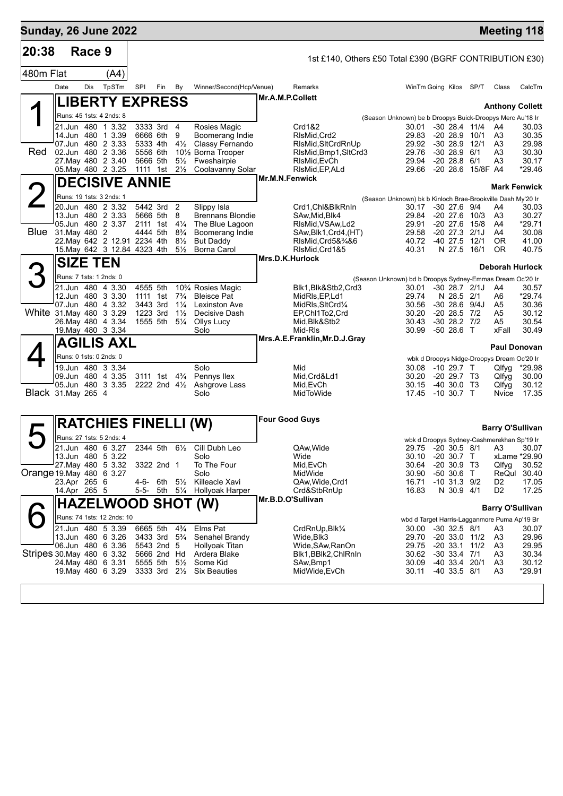| <b>Sunday, 26 June 2022</b> |                                               |        |       |                                                      |                                  |                                              |                       |                                                         |                                                             |                                  |                                         |                   |                                              | <b>Meeting 118</b> |
|-----------------------------|-----------------------------------------------|--------|-------|------------------------------------------------------|----------------------------------|----------------------------------------------|-----------------------|---------------------------------------------------------|-------------------------------------------------------------|----------------------------------|-----------------------------------------|-------------------|----------------------------------------------|--------------------|
| 20:38                       |                                               | Race 9 |       |                                                      |                                  |                                              |                       | 1st £140, Others £50 Total £390 (BGRF CONTRIBUTION £30) |                                                             |                                  |                                         |                   |                                              |                    |
| 480m Flat                   |                                               |        | (A4)  |                                                      |                                  |                                              |                       |                                                         |                                                             |                                  |                                         |                   |                                              |                    |
|                             | Date                                          | Dis    | TpSTm | SPI                                                  | By<br>Fin                        | Winner/Second(Hcp/Venue)                     |                       | Remarks                                                 |                                                             | WinTm Going Kilos SP/T           |                                         |                   | Class                                        | CalcTm             |
|                             |                                               |        |       | <b>LIBERTY EXPRESS</b>                               |                                  |                                              | Mr.A.M.P.Collett      |                                                         |                                                             |                                  |                                         |                   |                                              |                    |
|                             | Runs: 45 1sts: 4 2nds: 8                      |        |       |                                                      |                                  |                                              |                       |                                                         | (Season Unknown) be b Droopys Buick-Droopys Merc Au'18 Ir   |                                  |                                         |                   | <b>Anthony Collett</b>                       |                    |
|                             | 21.Jun 480 1 3.32                             |        |       | 3333 3rd 4                                           |                                  | Rosies Magic                                 |                       | Crd1&2                                                  |                                                             | 30.01                            |                                         | $-30$ 28.4 $11/4$ | - A4                                         | 30.03              |
|                             | 14.Jun 480 1 3.39<br>07.Jun 480 2 3.33        |        |       | 6666 6th<br>5333 4th                                 | 9<br>$4\frac{1}{2}$              | Boomerang Indie<br>Classy Fernando           |                       | RIsMid, Crd2<br>RIsMid, SItCrdRnUp                      |                                                             | 29.83<br>29.92                   | $-20$ 28.9 $10/1$<br>$-30, 28.9$        | 12/1              | A3<br>A3                                     | 30.35<br>29.98     |
| <b>Red</b>                  | 02.Jun 480 2 3.36                             |        |       | 5556 6th                                             |                                  | 10 <sup>1</sup> / <sub>2</sub> Borna Trooper |                       | RIsMid, Bmp1, SItCrd3                                   |                                                             | 29.76                            | $-3028.96/1$                            |                   | A3                                           | 30.30              |
|                             | 27. May 480 2 3.40<br>05. May 480 2 3.25      |        |       | 5666 5th<br>1111 1st 21/ <sub>2</sub>                | $5\frac{1}{2}$                   | Fweshairpie<br>Coolavanny Solar              |                       | RIsMid, EvCh<br>RIsMid, EP, ALd                         |                                                             | 29.94<br>29.66 -20 28.6 15/8F A4 | $-20, 28.8$                             | 6/1               | A3                                           | 30.17<br>*29.46    |
|                             |                                               |        |       | <b>DECISIVE ANNIE</b>                                |                                  |                                              | Mr.M.N.Fenwick        |                                                         |                                                             |                                  |                                         |                   |                                              |                    |
|                             |                                               |        |       |                                                      |                                  |                                              |                       |                                                         |                                                             |                                  |                                         |                   | <b>Mark Fenwick</b>                          |                    |
| $\angle$                    | Runs: 19 1sts: 3 2nds: 1<br>20.Jun 480 2 3.32 |        |       | 5442 3rd 2                                           |                                  | Slippy Isla                                  |                       | Crd1,Chl&BlkRnIn                                        | (Season Unknown) bk b Kinloch Brae-Brookville Dash My'20 Ir | 30.17                            | $-30$ 27.6 $9/4$                        |                   | A4                                           | 30.03              |
|                             | 13.Jun 480 2 3.33                             |        |       | 5666 5th                                             | 8                                | <b>Brennans Blondie</b>                      |                       | SAw, Mid, Blk4                                          |                                                             | 29.84                            |                                         | $-20$ 27.6 $10/3$ | A3                                           | 30.27              |
|                             | 05.Jun 480 2 3.37<br>Blue 31. May 480 2       |        |       | 2111 1st<br>4444 5th                                 | $4\frac{1}{4}$<br>$8\frac{3}{4}$ | The Blue Lagoon<br>Boomerang Indie           |                       | RIsMid, VSAw, Ld2<br>SAw,Blk1,Crd4,(HT)                 |                                                             | 29.91<br>29.58                   | $-20$ 27.6<br>$-20$ 27.3 $2/1J$         | 15/8              | A4<br>A4                                     | *29.71<br>30.08    |
|                             |                                               |        |       | 22. May 642 2 12.91 2234 4th                         | $8\frac{1}{2}$                   | <b>But Daddy</b>                             |                       | RIsMid, Crd5&34&6                                       |                                                             | 40.72                            | $-40$ 27.5                              | 12/1              | 0R                                           | 41.00              |
|                             |                                               |        |       | 15. May 642 3 12.84 4323 4th                         | $5\frac{1}{2}$                   | <b>Borna Carol</b>                           | Mrs.D.K.Hurlock       | RIsMid, Crd1&5                                          |                                                             | 40.31                            | N 27.5 16/1                             |                   | <b>OR</b>                                    | 40.75              |
|                             | <b>SIZE TEN</b>                               |        |       |                                                      |                                  |                                              |                       |                                                         |                                                             |                                  |                                         |                   | Deborah Hurlock                              |                    |
| 3                           | Runs: 7 1sts: 1 2nds: 0<br>21.Jun 480 4 3.30  |        |       | 4555 5th                                             |                                  | 10% Rosies Magic                             |                       |                                                         | (Season Unknown) bd b Droopys Sydney-Emmas Dream Oc'20 Ir   |                                  | $-30$ 28.7 $2/1J$                       |                   |                                              | 30.57              |
|                             | 12.Jun 480 3 3.30                             |        |       | 1111 1st                                             | $7\frac{3}{4}$                   | <b>Bleisce Pat</b>                           |                       | Blk1,Blk&Stb2,Crd3<br>MidRIs, EP, Ld1                   |                                                             | 30.01<br>29.74                   | N 28.5 2/1                              |                   | A4<br>A6                                     | *29.74             |
| White 31. May 480 3 3.29    | 07.Jun 480 4 3.32                             |        |       | 3443 3rd                                             | $1\frac{1}{4}$                   | <b>Lexinston Ave</b>                         |                       | MidRIs, SItCrd1/4                                       |                                                             | 30.56                            | $-30$ 28.6 $9/4J$                       |                   | A5                                           | 30.36              |
|                             | 26. May 480 4 3.34                            |        |       | 1223 3rd<br>1555 5th                                 | $1\frac{1}{2}$<br>$5\frac{1}{4}$ | Decisive Dash<br>Ollys Lucy                  |                       | EP,Chl1To2,Crd<br>Mid,Blk&Stb2                          |                                                             | 30.20<br>30.43                   | $-20$ 28.5 $7/2$<br>$-30$ 28.2 $7/2$    |                   | A5<br>A5                                     | 30.12<br>30.54     |
|                             | 19. May 480 3 3.34                            |        |       |                                                      |                                  | Solo                                         |                       | Mid-RIs<br>Mrs.A.E.Franklin, Mr.D.J.Gray                |                                                             | 30.99                            | -50 28.6 T                              |                   | xFall                                        | 30.49              |
|                             | <b>AGILIS AXL</b>                             |        |       |                                                      |                                  |                                              |                       |                                                         |                                                             |                                  |                                         |                   | <b>Paul Donovan</b>                          |                    |
|                             | Runs: 0 1sts: 0 2nds: 0                       |        |       |                                                      |                                  |                                              |                       |                                                         |                                                             |                                  |                                         |                   | wbk d Droopys Nidge-Droopys Dream Oc'20 Ir   |                    |
|                             | 19.Jun 480 3 3.34<br>09.Jun 480 4 3.35        |        |       | 3111 1st 4 <sup>3</sup> / <sub>4</sub>               |                                  | Solo<br>Pennys llex                          |                       | Mid<br>Mid, Crd&Ld1                                     |                                                             | 30.08<br>30.20                   | -10 29.7 T<br>$-20$ 29.7 T <sub>3</sub> |                   | Qlfyg<br>Qlfyg                               | *29.98<br>30.00    |
|                             | 05.Jun 480 3 3.35                             |        |       | 2222 2nd 41/2                                        |                                  | Ashgrove Lass                                |                       | Mid, EvCh                                               |                                                             | 30.15                            | $-40,30.0$ T <sub>3</sub>               |                   | Qlfyg                                        | 30.12              |
| Black 31. May 265 4         |                                               |        |       |                                                      |                                  | Solo                                         |                       | MidToWide                                               |                                                             | 17.45 -10 30.7 T                 |                                         |                   | Nvice                                        | 17.35              |
|                             |                                               |        |       | <b>RATCHIES FINELLI (W)</b>                          |                                  |                                              | <b>Four Good Guys</b> |                                                         |                                                             |                                  |                                         |                   | <b>Barry O'Sullivan</b>                      |                    |
|                             | Runs: 27 1sts: 5 2nds: 4                      |        |       |                                                      |                                  |                                              |                       |                                                         |                                                             |                                  |                                         |                   | wbk d Droopys Sydney-Cashmerekhan Sp'19 Ir   |                    |
|                             | 21.Jun 480 6 3.27<br>13.Jun 480 5 3.22        |        |       | 2344 5th                                             |                                  | 61/ <sub>2</sub> Cill Dubh Leo<br>Solo       |                       | QAw.Wide<br>Wide                                        |                                                             | 30.10 -20 30.7 T                 |                                         |                   | 29.75 -20 30.5 8/1 A3 30.07                  | xLame *29.90       |
|                             | 27. May 480 5 3.32                            |        |       | 3322 2nd 1                                           |                                  | To The Four                                  |                       | Mid,EvCh                                                |                                                             | 30.64                            | $-20, 30.9, T3$                         |                   | Qlfyg                                        | 30.52              |
| Orange 19 May 480 6 3.27    | 23.Apr 265 6                                  |        |       | 4-6- 6th                                             | $5\frac{1}{2}$                   | Solo<br>Killeacle Xavi                       |                       | MidWide<br>QAw,Wide,Crd1                                |                                                             | 30.90<br>16.71                   | $-50,30.6$ T<br>$-10$ 31.3 $9/2$        |                   | ReQul<br>D <sub>2</sub>                      | 30.40<br>17.05     |
|                             | 14.Apr 265 5                                  |        |       | 5-5- 5th 51/4                                        |                                  | <b>Hollyoak Harper</b>                       |                       | Crd&StbRnUp                                             |                                                             | 16.83                            | N 30.9 4/1                              |                   | D <sub>2</sub>                               | 17.25              |
|                             |                                               |        |       | <b>HAZELWOOD SHOT (W)</b>                            |                                  |                                              |                       | Mr.B.D.O'Sullivan                                       |                                                             |                                  |                                         |                   | <b>Barry O'Sullivan</b>                      |                    |
|                             | Runs: 74 1sts: 12 2nds: 10                    |        |       |                                                      |                                  |                                              |                       |                                                         |                                                             |                                  |                                         |                   | wbd d Target Harris-Lagganmore Puma Ap'19 Br |                    |
|                             | 21.Jun 480 5 3.39                             |        |       | 6665 5th                                             | $4\frac{3}{4}$                   | Elms Pat                                     |                       | CrdRnUp,Blk1/4                                          |                                                             | 30.00                            | $-30$ 32.5 $8/1$                        |                   | A3                                           | 30.07              |
|                             | 13.Jun 480 6 3.26<br>06.Jun 480 6 3.36        |        |       | 3433 3rd 5 <sup>3</sup> / <sub>4</sub><br>5543 2nd 5 |                                  | Senahel Brandy<br>Hollyoak Titan             |                       | Wide, Blk3<br>Wide,SAw,RanOn                            |                                                             | 29.70 -20 33.0 11/2<br>29.75     | $-20$ 33.1 11/2                         |                   | A3<br>A3                                     | 29.96<br>29.95     |
| Stripes 30 May 480 6 3.32   |                                               |        |       | 5666 2nd Hd                                          |                                  | Ardera Blake                                 |                       | Blk1,BBlk2,ChlRnIn                                      |                                                             | 30.62                            | $-30$ 33.4 $7/1$                        |                   | A3                                           | 30.34              |
|                             | 24. May 480 6 3.31<br>19. May 480 6 3.29      |        |       | 5555 5th<br>3333 3rd                                 | $5\frac{1}{2}$<br>$2\frac{1}{2}$ | Some Kid<br><b>Six Beauties</b>              |                       | SAw,Bmp1<br>MidWide,EvCh                                |                                                             | 30.09<br>30.11                   | -40 33.4 20/1<br>$-40$ 33.5 $8/1$       |                   | A3<br>A3                                     | 30.12<br>*29.91    |
|                             |                                               |        |       |                                                      |                                  |                                              |                       |                                                         |                                                             |                                  |                                         |                   |                                              |                    |
|                             |                                               |        |       |                                                      |                                  |                                              |                       |                                                         |                                                             |                                  |                                         |                   |                                              |                    |
|                             |                                               |        |       |                                                      |                                  |                                              |                       |                                                         |                                                             |                                  |                                         |                   |                                              |                    |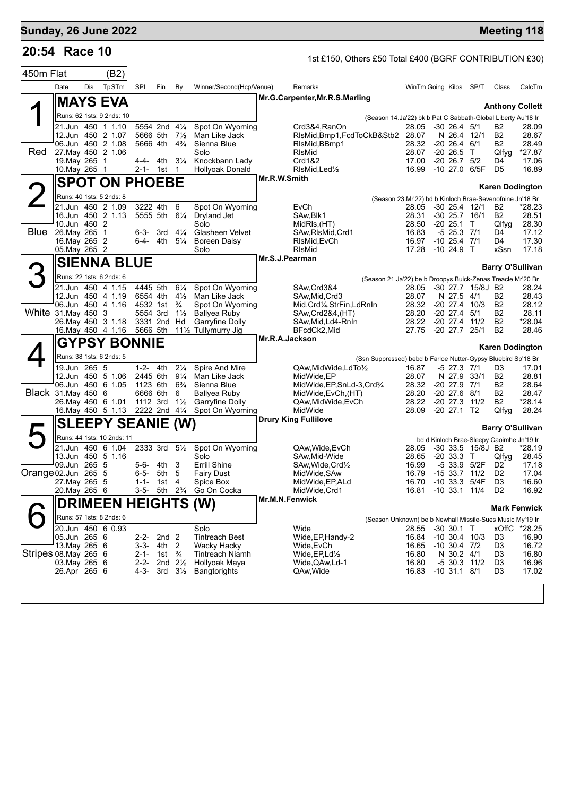| 20:54 Race 10<br>1st £150, Others £50 Total £400 (BGRF CONTRIBUTION £30)<br>450m Flat<br>(B2)<br>Date<br>Dis<br>TpSTm<br>SPI<br>By<br>Winner/Second(Hcp/Venue)<br>WinTm Going Kilos SP/T<br>Fin<br>Remarks<br>Class<br>CalcTm<br>Mr.G.Carpenter, Mr.R.S.Marling<br><b>MAYS EVA</b><br><b>Anthony Collett</b><br>Runs: 62 1sts: 9 2nds: 10<br>(Season 14.Ja'22) bk b Pat C Sabbath-Global Liberty Au'18 Ir<br>21.Jun 450 1 1.10<br>5554 2nd 41/4<br>Spot On Wyoming<br>Crd3&4, RanOn<br>28.05<br>$-30$ 26.4 $5/1$<br>B2<br>28.09<br>12.Jun 450 2 1.07<br>5666 5th<br>$7\frac{1}{2}$<br>Man Like Jack<br>RIsMid, Bmp1, FcdToCkB&Stb2 28.07<br>N 26.4 12/1<br><b>B2</b><br>28.67<br>06.Jun 450 2 1.08<br>5666 4th<br>$4\frac{3}{4}$<br>Sienna Blue<br>RIsMid, BBmp1<br>28.32<br>$-20$ 26.4 6/1<br>B2<br>28.49<br>Red<br>27. May 450 2 1.06<br>Solo<br>RIsMid<br>28.07<br>$-20, 26.5$ T<br>Qlfyg<br>*27.87<br>19. May 265 1<br>4-4- 4th<br>$3\frac{1}{4}$<br>Knockbann Lady<br>Crd1&2<br>17.00<br>$-20$ 26.7 $5/2$<br>D4<br>17.06<br>10. May 265 1<br>2-1- 1st 1<br><b>Hollyoak Donald</b><br>RIsMid, Led <sup>1</sup> / <sub>2</sub><br>16.99<br>-10 27.0 6/5F<br>D <sub>5</sub><br>16.89<br>Mr.R.W.Smith<br><b>SPOT ON PHOEBE</b><br><b>Karen Dodington</b><br>Runs: 40 1sts: 5 2nds: 8<br>(Season 23.Mr'22) bd b Kinloch Brae-Sevenofnine Jn'18 Br<br>21.Jun 450 2 1.09<br>3222 4th<br>6<br>Spot On Wyoming<br>EvCh<br>-30 25.4 12/1<br>*28.23<br>28.05<br>B2<br>16.Jun 450 2 1.13<br>28.51<br>5555 5th<br>$6\frac{1}{4}$<br>Dryland Jet<br>SAw, Blk1<br>28.31<br>$-30$ 25.7 16/1<br>B2<br>10.Jun 450 2<br>$-20$ 25.1 T<br>28.30<br>Solo<br>MidRIs, (HT)<br>28.50<br>Qlfyg<br>Blue<br>26. May 265 1<br><b>Glasheen Velvet</b><br>SAw, RIsMid, Crd1<br>16.83<br>$-5$ 25.3 $7/1$<br>17.12<br>6-3- 3rd<br>$4\frac{1}{4}$<br>D4<br>16. May 265 2<br>$-10$ 25.4 $7/1$<br>17.30<br>6-4- 4th<br>$5\frac{1}{4}$<br><b>Boreen Daisy</b><br>16.97<br>D4<br>RIsMid, EvCh<br>17.28<br>$-1024.9$ T<br>xSsn<br>17.18<br>05. May 265 2<br>Solo<br>RIsMid<br>Mr.S.J.Pearman<br><b>SIENNA BLUE</b><br>З<br><b>Barry O'Sullivan</b><br>Runs: 22 1sts: 6 2nds: 6<br>(Season 21.Ja'22) be b Droopys Buick-Zenas Treacle Mr'20 Br | <b>Sunday, 26 June 2022</b> |  |  |  |  |  |  |  | <b>Meeting 118</b> |
|-------------------------------------------------------------------------------------------------------------------------------------------------------------------------------------------------------------------------------------------------------------------------------------------------------------------------------------------------------------------------------------------------------------------------------------------------------------------------------------------------------------------------------------------------------------------------------------------------------------------------------------------------------------------------------------------------------------------------------------------------------------------------------------------------------------------------------------------------------------------------------------------------------------------------------------------------------------------------------------------------------------------------------------------------------------------------------------------------------------------------------------------------------------------------------------------------------------------------------------------------------------------------------------------------------------------------------------------------------------------------------------------------------------------------------------------------------------------------------------------------------------------------------------------------------------------------------------------------------------------------------------------------------------------------------------------------------------------------------------------------------------------------------------------------------------------------------------------------------------------------------------------------------------------------------------------------------------------------------------------------------------------------------------------------------------------------------------------------------------------------------------------------------------------------------------------------------------|-----------------------------|--|--|--|--|--|--|--|--------------------|
|                                                                                                                                                                                                                                                                                                                                                                                                                                                                                                                                                                                                                                                                                                                                                                                                                                                                                                                                                                                                                                                                                                                                                                                                                                                                                                                                                                                                                                                                                                                                                                                                                                                                                                                                                                                                                                                                                                                                                                                                                                                                                                                                                                                                             |                             |  |  |  |  |  |  |  |                    |
|                                                                                                                                                                                                                                                                                                                                                                                                                                                                                                                                                                                                                                                                                                                                                                                                                                                                                                                                                                                                                                                                                                                                                                                                                                                                                                                                                                                                                                                                                                                                                                                                                                                                                                                                                                                                                                                                                                                                                                                                                                                                                                                                                                                                             |                             |  |  |  |  |  |  |  |                    |
|                                                                                                                                                                                                                                                                                                                                                                                                                                                                                                                                                                                                                                                                                                                                                                                                                                                                                                                                                                                                                                                                                                                                                                                                                                                                                                                                                                                                                                                                                                                                                                                                                                                                                                                                                                                                                                                                                                                                                                                                                                                                                                                                                                                                             |                             |  |  |  |  |  |  |  |                    |
|                                                                                                                                                                                                                                                                                                                                                                                                                                                                                                                                                                                                                                                                                                                                                                                                                                                                                                                                                                                                                                                                                                                                                                                                                                                                                                                                                                                                                                                                                                                                                                                                                                                                                                                                                                                                                                                                                                                                                                                                                                                                                                                                                                                                             |                             |  |  |  |  |  |  |  |                    |
|                                                                                                                                                                                                                                                                                                                                                                                                                                                                                                                                                                                                                                                                                                                                                                                                                                                                                                                                                                                                                                                                                                                                                                                                                                                                                                                                                                                                                                                                                                                                                                                                                                                                                                                                                                                                                                                                                                                                                                                                                                                                                                                                                                                                             |                             |  |  |  |  |  |  |  |                    |
|                                                                                                                                                                                                                                                                                                                                                                                                                                                                                                                                                                                                                                                                                                                                                                                                                                                                                                                                                                                                                                                                                                                                                                                                                                                                                                                                                                                                                                                                                                                                                                                                                                                                                                                                                                                                                                                                                                                                                                                                                                                                                                                                                                                                             |                             |  |  |  |  |  |  |  |                    |
|                                                                                                                                                                                                                                                                                                                                                                                                                                                                                                                                                                                                                                                                                                                                                                                                                                                                                                                                                                                                                                                                                                                                                                                                                                                                                                                                                                                                                                                                                                                                                                                                                                                                                                                                                                                                                                                                                                                                                                                                                                                                                                                                                                                                             |                             |  |  |  |  |  |  |  |                    |
|                                                                                                                                                                                                                                                                                                                                                                                                                                                                                                                                                                                                                                                                                                                                                                                                                                                                                                                                                                                                                                                                                                                                                                                                                                                                                                                                                                                                                                                                                                                                                                                                                                                                                                                                                                                                                                                                                                                                                                                                                                                                                                                                                                                                             |                             |  |  |  |  |  |  |  |                    |
|                                                                                                                                                                                                                                                                                                                                                                                                                                                                                                                                                                                                                                                                                                                                                                                                                                                                                                                                                                                                                                                                                                                                                                                                                                                                                                                                                                                                                                                                                                                                                                                                                                                                                                                                                                                                                                                                                                                                                                                                                                                                                                                                                                                                             |                             |  |  |  |  |  |  |  |                    |
|                                                                                                                                                                                                                                                                                                                                                                                                                                                                                                                                                                                                                                                                                                                                                                                                                                                                                                                                                                                                                                                                                                                                                                                                                                                                                                                                                                                                                                                                                                                                                                                                                                                                                                                                                                                                                                                                                                                                                                                                                                                                                                                                                                                                             |                             |  |  |  |  |  |  |  |                    |
|                                                                                                                                                                                                                                                                                                                                                                                                                                                                                                                                                                                                                                                                                                                                                                                                                                                                                                                                                                                                                                                                                                                                                                                                                                                                                                                                                                                                                                                                                                                                                                                                                                                                                                                                                                                                                                                                                                                                                                                                                                                                                                                                                                                                             |                             |  |  |  |  |  |  |  |                    |
|                                                                                                                                                                                                                                                                                                                                                                                                                                                                                                                                                                                                                                                                                                                                                                                                                                                                                                                                                                                                                                                                                                                                                                                                                                                                                                                                                                                                                                                                                                                                                                                                                                                                                                                                                                                                                                                                                                                                                                                                                                                                                                                                                                                                             |                             |  |  |  |  |  |  |  |                    |
|                                                                                                                                                                                                                                                                                                                                                                                                                                                                                                                                                                                                                                                                                                                                                                                                                                                                                                                                                                                                                                                                                                                                                                                                                                                                                                                                                                                                                                                                                                                                                                                                                                                                                                                                                                                                                                                                                                                                                                                                                                                                                                                                                                                                             |                             |  |  |  |  |  |  |  |                    |
|                                                                                                                                                                                                                                                                                                                                                                                                                                                                                                                                                                                                                                                                                                                                                                                                                                                                                                                                                                                                                                                                                                                                                                                                                                                                                                                                                                                                                                                                                                                                                                                                                                                                                                                                                                                                                                                                                                                                                                                                                                                                                                                                                                                                             |                             |  |  |  |  |  |  |  |                    |
|                                                                                                                                                                                                                                                                                                                                                                                                                                                                                                                                                                                                                                                                                                                                                                                                                                                                                                                                                                                                                                                                                                                                                                                                                                                                                                                                                                                                                                                                                                                                                                                                                                                                                                                                                                                                                                                                                                                                                                                                                                                                                                                                                                                                             |                             |  |  |  |  |  |  |  |                    |
|                                                                                                                                                                                                                                                                                                                                                                                                                                                                                                                                                                                                                                                                                                                                                                                                                                                                                                                                                                                                                                                                                                                                                                                                                                                                                                                                                                                                                                                                                                                                                                                                                                                                                                                                                                                                                                                                                                                                                                                                                                                                                                                                                                                                             |                             |  |  |  |  |  |  |  |                    |
|                                                                                                                                                                                                                                                                                                                                                                                                                                                                                                                                                                                                                                                                                                                                                                                                                                                                                                                                                                                                                                                                                                                                                                                                                                                                                                                                                                                                                                                                                                                                                                                                                                                                                                                                                                                                                                                                                                                                                                                                                                                                                                                                                                                                             |                             |  |  |  |  |  |  |  |                    |
| 4445 5th<br>21.Jun 450 4 1.15<br>$6\frac{1}{4}$<br>Spot On Wyoming<br>SAw, Crd3&4<br>-30 27.7 15/8J B2<br>28.24<br>28.05                                                                                                                                                                                                                                                                                                                                                                                                                                                                                                                                                                                                                                                                                                                                                                                                                                                                                                                                                                                                                                                                                                                                                                                                                                                                                                                                                                                                                                                                                                                                                                                                                                                                                                                                                                                                                                                                                                                                                                                                                                                                                    |                             |  |  |  |  |  |  |  |                    |
| $4\frac{1}{2}$<br>28.43<br>12.Jun 450 4 1.19<br>6554 4th<br>Man Like Jack<br>28.07<br>N 27.5 4/1<br>B2<br>SAw, Mid, Crd3<br>06.Jun 450 4 1.16<br>$\frac{3}{4}$<br>4532 1st<br>Spot On Wyoming<br>28.32<br>$-20$ 27.4 $10/3$<br>B2<br>28.12                                                                                                                                                                                                                                                                                                                                                                                                                                                                                                                                                                                                                                                                                                                                                                                                                                                                                                                                                                                                                                                                                                                                                                                                                                                                                                                                                                                                                                                                                                                                                                                                                                                                                                                                                                                                                                                                                                                                                                  |                             |  |  |  |  |  |  |  |                    |
| Mid, Crd1⁄4, StrFin, LdRnIn<br>White 31. May 450 3<br>28.20<br>$-20$ 27.4<br><b>B2</b><br>28.11<br>5554 3rd<br>$1\frac{1}{2}$<br><b>Ballyea Ruby</b><br>5/1<br>SAw, Crd 2&4, (HT)                                                                                                                                                                                                                                                                                                                                                                                                                                                                                                                                                                                                                                                                                                                                                                                                                                                                                                                                                                                                                                                                                                                                                                                                                                                                                                                                                                                                                                                                                                                                                                                                                                                                                                                                                                                                                                                                                                                                                                                                                           |                             |  |  |  |  |  |  |  |                    |
| $-20$ 27.4<br><b>B2</b><br>*28.04<br>26. May 450 3 1.18<br>3331 2nd<br>Garryfine Dolly<br>28.22<br>11/2<br>Hd<br>SAw, Mid, Ld4-RnIn<br>-20 27.7 25/1<br><b>B2</b><br>28.46<br>16. May 450 4 1.16<br>5666 5th<br>111/2 Tullymurry Jig<br>BFcdCk2,Mid<br>27.75                                                                                                                                                                                                                                                                                                                                                                                                                                                                                                                                                                                                                                                                                                                                                                                                                                                                                                                                                                                                                                                                                                                                                                                                                                                                                                                                                                                                                                                                                                                                                                                                                                                                                                                                                                                                                                                                                                                                                |                             |  |  |  |  |  |  |  |                    |
| Mr.R.A.Jackson<br><b>GYPSY BONNIE</b>                                                                                                                                                                                                                                                                                                                                                                                                                                                                                                                                                                                                                                                                                                                                                                                                                                                                                                                                                                                                                                                                                                                                                                                                                                                                                                                                                                                                                                                                                                                                                                                                                                                                                                                                                                                                                                                                                                                                                                                                                                                                                                                                                                       |                             |  |  |  |  |  |  |  |                    |
| <b>Karen Dodington</b><br>Runs: 38 1sts: 6 2nds: 5                                                                                                                                                                                                                                                                                                                                                                                                                                                                                                                                                                                                                                                                                                                                                                                                                                                                                                                                                                                                                                                                                                                                                                                                                                                                                                                                                                                                                                                                                                                                                                                                                                                                                                                                                                                                                                                                                                                                                                                                                                                                                                                                                          |                             |  |  |  |  |  |  |  |                    |
| (Ssn Suppressed) bebd b Farloe Nutter-Gypsy Bluebird Sp'18 Br<br>$2\frac{1}{4}$<br>19.Jun 265 5<br>1-2-<br>4th<br>Spire And Mire<br>QAw, Mid Wide, LdTo 1/2<br>16.87<br>-5 27.3 7/1<br>D3<br>17.01                                                                                                                                                                                                                                                                                                                                                                                                                                                                                                                                                                                                                                                                                                                                                                                                                                                                                                                                                                                                                                                                                                                                                                                                                                                                                                                                                                                                                                                                                                                                                                                                                                                                                                                                                                                                                                                                                                                                                                                                          |                             |  |  |  |  |  |  |  |                    |
| 12.Jun 450 5 1.06<br>2445 6th<br>$9\frac{1}{4}$<br>Man Like Jack<br>MidWide, EP<br>28.07<br>N 27.9<br><b>B2</b><br>28.81<br>33/1                                                                                                                                                                                                                                                                                                                                                                                                                                                                                                                                                                                                                                                                                                                                                                                                                                                                                                                                                                                                                                                                                                                                                                                                                                                                                                                                                                                                                                                                                                                                                                                                                                                                                                                                                                                                                                                                                                                                                                                                                                                                            |                             |  |  |  |  |  |  |  |                    |
| 06.Jun 450 6 1.05<br>1123 6th<br>$6\frac{3}{4}$<br>Sienna Blue<br>MidWide, EP, SnLd-3, Crd3/4<br>28.32<br>$-20$ 27.9 $7/1$<br>B2<br>28.64<br>Black 31. May 450 6<br>28.20<br>$-20, 27.6$<br>8/1<br>B2<br>28.47<br>6666 6th<br>6<br>Ballyea Ruby<br>MidWide, EvCh, (HT)                                                                                                                                                                                                                                                                                                                                                                                                                                                                                                                                                                                                                                                                                                                                                                                                                                                                                                                                                                                                                                                                                                                                                                                                                                                                                                                                                                                                                                                                                                                                                                                                                                                                                                                                                                                                                                                                                                                                      |                             |  |  |  |  |  |  |  |                    |
| $-20\,27.3$<br>11/2<br>B2<br>*28.14<br>26. May 450 6 1.01<br>1112 3rd<br>$1\frac{1}{2}$<br>Garryfine Dolly<br>QAw, Mid Wide, EvCh<br>28.22<br>16. May 450 5 1.13<br>2222 2nd 41/4<br>MidWide<br>28.09<br>$-2027.1$<br>Qlfyg<br>28.24<br>Spot On Wyoming<br>T2                                                                                                                                                                                                                                                                                                                                                                                                                                                                                                                                                                                                                                                                                                                                                                                                                                                                                                                                                                                                                                                                                                                                                                                                                                                                                                                                                                                                                                                                                                                                                                                                                                                                                                                                                                                                                                                                                                                                               |                             |  |  |  |  |  |  |  |                    |
| <b>Drury King Fullilove</b><br><b>SLEEPY SEANIE (W)</b>                                                                                                                                                                                                                                                                                                                                                                                                                                                                                                                                                                                                                                                                                                                                                                                                                                                                                                                                                                                                                                                                                                                                                                                                                                                                                                                                                                                                                                                                                                                                                                                                                                                                                                                                                                                                                                                                                                                                                                                                                                                                                                                                                     |                             |  |  |  |  |  |  |  |                    |
| <b>Barry O'Sullivan</b><br>Runs: 44 1sts: 10 2nds: 11                                                                                                                                                                                                                                                                                                                                                                                                                                                                                                                                                                                                                                                                                                                                                                                                                                                                                                                                                                                                                                                                                                                                                                                                                                                                                                                                                                                                                                                                                                                                                                                                                                                                                                                                                                                                                                                                                                                                                                                                                                                                                                                                                       |                             |  |  |  |  |  |  |  |                    |
| bd d Kinloch Brae-Sleepy Caoimhe Jn'19 Ir<br>$\sqrt{21}$ Jun 450 6 1.04<br>2333 3rd 5 <sup>1</sup> / <sub>2</sub> Spot On Wyoming<br>QAw, Wide, EvCh<br>28.05 -30 33.5 15/8J B2<br>*28.19                                                                                                                                                                                                                                                                                                                                                                                                                                                                                                                                                                                                                                                                                                                                                                                                                                                                                                                                                                                                                                                                                                                                                                                                                                                                                                                                                                                                                                                                                                                                                                                                                                                                                                                                                                                                                                                                                                                                                                                                                   |                             |  |  |  |  |  |  |  |                    |
| 13.Jun 450 5 1.16<br>SAw, Mid-Wide<br>Solo<br>$-20$ 33.3 T<br>Qlfyg<br>28.45<br>28.65                                                                                                                                                                                                                                                                                                                                                                                                                                                                                                                                                                                                                                                                                                                                                                                                                                                                                                                                                                                                                                                                                                                                                                                                                                                                                                                                                                                                                                                                                                                                                                                                                                                                                                                                                                                                                                                                                                                                                                                                                                                                                                                       |                             |  |  |  |  |  |  |  |                    |
| 09.Jun 265 5<br>Errill Shine<br>SAw, Wide, Crd1/2<br>16.99<br>-5 33.9 5/2F<br>17.18<br>5-6-<br>4th<br>3<br>D <sub>2</sub><br>Orange 02.Jun 265 5<br>6-5-<br>5th<br>5<br>MidWide, SAw<br>16.79<br>$-15$ 33.7 $11/2$<br>D <sub>2</sub><br>17.04<br><b>Fairy Dust</b>                                                                                                                                                                                                                                                                                                                                                                                                                                                                                                                                                                                                                                                                                                                                                                                                                                                                                                                                                                                                                                                                                                                                                                                                                                                                                                                                                                                                                                                                                                                                                                                                                                                                                                                                                                                                                                                                                                                                          |                             |  |  |  |  |  |  |  |                    |
| 27. May 265 5<br>MidWide, EP, ALd<br>16.70<br>-10 33.3 5/4F<br>D3<br>16.60<br>$1 - 1 -$<br>1st<br>-4<br>Spice Box                                                                                                                                                                                                                                                                                                                                                                                                                                                                                                                                                                                                                                                                                                                                                                                                                                                                                                                                                                                                                                                                                                                                                                                                                                                                                                                                                                                                                                                                                                                                                                                                                                                                                                                                                                                                                                                                                                                                                                                                                                                                                           |                             |  |  |  |  |  |  |  |                    |
| 20. May 265 6<br>$3 - 5 -$<br>5th 2 <sup>3</sup> / <sub>4</sub><br>MidWide, Crd1<br>16.81<br>$-10$ 33.1 $11/4$<br>D <sub>2</sub><br>16.92<br>Go On Cocka<br>Mr.M.N.Fenwick                                                                                                                                                                                                                                                                                                                                                                                                                                                                                                                                                                                                                                                                                                                                                                                                                                                                                                                                                                                                                                                                                                                                                                                                                                                                                                                                                                                                                                                                                                                                                                                                                                                                                                                                                                                                                                                                                                                                                                                                                                  |                             |  |  |  |  |  |  |  |                    |
| <b>DRIMEEN HEIGHTS (W)</b><br><b>Mark Fenwick</b>                                                                                                                                                                                                                                                                                                                                                                                                                                                                                                                                                                                                                                                                                                                                                                                                                                                                                                                                                                                                                                                                                                                                                                                                                                                                                                                                                                                                                                                                                                                                                                                                                                                                                                                                                                                                                                                                                                                                                                                                                                                                                                                                                           |                             |  |  |  |  |  |  |  |                    |
| Runs: 57 1sts: 8 2nds: 6<br>(Season Unknown) be b Newhall Missile-Sues Music My'19 Ir<br>20.Jun 450 6 0.93<br>Solo<br>28.55                                                                                                                                                                                                                                                                                                                                                                                                                                                                                                                                                                                                                                                                                                                                                                                                                                                                                                                                                                                                                                                                                                                                                                                                                                                                                                                                                                                                                                                                                                                                                                                                                                                                                                                                                                                                                                                                                                                                                                                                                                                                                 |                             |  |  |  |  |  |  |  |                    |
| Wide<br>$-30$ 30.1 T<br>xOffC *28.25<br>05.Jun 265 6<br><b>Tintreach Best</b><br>16.84 -10 30.4 10/3<br>D <sub>3</sub><br>16.90<br>2-2-<br>2nd <sub>2</sub><br>Wide, EP, Handy-2                                                                                                                                                                                                                                                                                                                                                                                                                                                                                                                                                                                                                                                                                                                                                                                                                                                                                                                                                                                                                                                                                                                                                                                                                                                                                                                                                                                                                                                                                                                                                                                                                                                                                                                                                                                                                                                                                                                                                                                                                            |                             |  |  |  |  |  |  |  |                    |
| $3 - 3 -$<br>13. May 265 6<br>4th 2<br>16.65<br>$-10$ 30.4 $7/2$<br>D <sub>3</sub><br>16.72<br><b>Wacky Hacky</b><br>Wide,EvCh<br>Stripes 08. May 265 6                                                                                                                                                                                                                                                                                                                                                                                                                                                                                                                                                                                                                                                                                                                                                                                                                                                                                                                                                                                                                                                                                                                                                                                                                                                                                                                                                                                                                                                                                                                                                                                                                                                                                                                                                                                                                                                                                                                                                                                                                                                     |                             |  |  |  |  |  |  |  |                    |
| $\frac{3}{4}$<br>16.80<br>D3<br>16.80<br>$2 - 1 -$<br>1st<br><b>Tintreach Niamh</b><br>Wide, $EP, Ld\frac{1}{2}$<br>N 30.2 4/1<br>$2 - 2 -$<br>2nd $2\frac{1}{2}$<br>16.80<br>$-5$ 30.3 11/2<br>D <sub>3</sub><br>16.96<br>03.May 265 6<br>Hollyoak Maya<br>Wide, QAw, Ld-1                                                                                                                                                                                                                                                                                                                                                                                                                                                                                                                                                                                                                                                                                                                                                                                                                                                                                                                                                                                                                                                                                                                                                                                                                                                                                                                                                                                                                                                                                                                                                                                                                                                                                                                                                                                                                                                                                                                                 |                             |  |  |  |  |  |  |  |                    |
| 26.Apr 265 6<br>$4 - 3 -$<br>16.83<br>$-10$ 31.1 8/1<br>D3<br>17.02<br>3rd<br>$3\frac{1}{2}$<br>Bangtorights<br>QAw, Wide                                                                                                                                                                                                                                                                                                                                                                                                                                                                                                                                                                                                                                                                                                                                                                                                                                                                                                                                                                                                                                                                                                                                                                                                                                                                                                                                                                                                                                                                                                                                                                                                                                                                                                                                                                                                                                                                                                                                                                                                                                                                                   |                             |  |  |  |  |  |  |  |                    |
|                                                                                                                                                                                                                                                                                                                                                                                                                                                                                                                                                                                                                                                                                                                                                                                                                                                                                                                                                                                                                                                                                                                                                                                                                                                                                                                                                                                                                                                                                                                                                                                                                                                                                                                                                                                                                                                                                                                                                                                                                                                                                                                                                                                                             |                             |  |  |  |  |  |  |  |                    |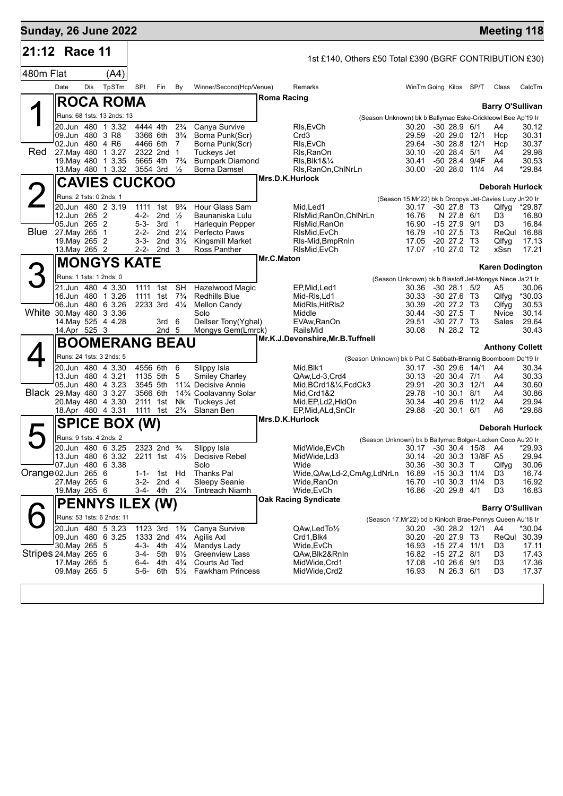| <b>Sunday, 26 June 2022</b> |                                |      |                                      |                        |                   |                                          |                                    |                    |                                                         |                                                               |                              |      | <b>Meeting 118</b>      |                |
|-----------------------------|--------------------------------|------|--------------------------------------|------------------------|-------------------|------------------------------------------|------------------------------------|--------------------|---------------------------------------------------------|---------------------------------------------------------------|------------------------------|------|-------------------------|----------------|
| 21:12 Race 11               |                                |      |                                      |                        |                   |                                          |                                    |                    | 1st £140, Others £50 Total £390 (BGRF CONTRIBUTION £30) |                                                               |                              |      |                         |                |
| 480m Flat                   |                                |      | (A4)                                 |                        |                   |                                          |                                    |                    |                                                         |                                                               |                              |      |                         |                |
|                             | Date                           | Dis. | TpSTm                                | <b>SPI</b>             | Fin               | By                                       | Winner/Second(Hcp/Venue)           |                    | Remarks                                                 |                                                               | WinTm Going Kilos SP/T       |      | Class                   | CalcTm         |
|                             |                                |      | <b>ROCA ROMA</b>                     |                        |                   |                                          |                                    | <b>Roma Racing</b> |                                                         |                                                               |                              |      |                         |                |
|                             |                                |      |                                      |                        |                   |                                          |                                    |                    |                                                         |                                                               |                              |      | <b>Barry O'Sullivan</b> |                |
|                             |                                |      | Runs: 68 1sts: 13 2nds: 13           |                        |                   |                                          |                                    |                    |                                                         | (Season Unknown) bk b Ballymac Eske-Crickleowl Bee Ap'19 Ir   |                              |      |                         |                |
|                             |                                |      | 20.Jun 480 1 3.32<br>09.Jun 480 3 R8 | 4444 4th<br>3366 6th   |                   | $2\frac{3}{4}$<br>$3\frac{3}{4}$         | Canya Survive                      |                    | RIs, EvCh<br>Crd <sub>3</sub>                           | 30.20<br>29.59                                                | $-30$ 28.9 $6/1$             |      | A4<br>Hcp               | 30.12<br>30.31 |
|                             |                                |      | 02.Jun 480 4 R6                      |                        | 4466 6th          | $\overline{7}$                           | Borna Punk(Scr)<br>Borna Punk(Scr) |                    | RIs, EvCh                                               | 29.64                                                         | -20 29.0 12/1<br>$-3028.8$   | 12/1 | Hcp                     | 30.37          |
| Red                         |                                |      | 27. May 480 1 3.27                   |                        | 2322 2nd 1        |                                          | Tuckeys Jet                        |                    | Rls, RanOn                                              | 30.10                                                         | $-20$ 28.4 $5/1$             |      | A4                      | 29.98          |
|                             |                                |      | 19 May 480 1 3.35                    | 5665 4th               |                   | $7\frac{3}{4}$                           | <b>Burnpark Diamond</b>            |                    | $RIs, BIk18\frac{1}{4}$                                 | 30.41                                                         | -50 28.4 9/4F                |      | A4                      | 30.53          |
|                             |                                |      | 13. May 480 1 3.32                   | 3554 3rd               |                   | $\frac{1}{2}$                            | Borna Damsel                       |                    | RIs, RanOn, ChINrLn                                     | 30.00                                                         | $-2028.0$                    | 11/4 | A4                      | *29.84         |
|                             |                                |      | <b>CAVIES CUCKOO</b>                 |                        |                   |                                          |                                    |                    | Mrs.D.K.Hurlock                                         |                                                               |                              |      |                         |                |
|                             |                                |      |                                      |                        |                   |                                          |                                    |                    |                                                         |                                                               |                              |      | <b>Deborah Hurlock</b>  |                |
|                             |                                |      | Runs: 2 1sts: 0 2nds: 1              |                        |                   |                                          |                                    |                    |                                                         | (Season 15.Mr'22) bk b Droopys Jet-Cavies Lucy Jn'20 Ir       |                              |      |                         |                |
|                             |                                |      | 20.Jun 480 2 3.19                    | 1111                   | 1st               | $9\frac{3}{4}$                           | Hour Glass Sam                     |                    | Mid, Led1                                               | 30.17                                                         | $-30$ 27.8 T3                |      | Qlfyg                   | *29.87         |
|                             | 12.Jun 265 2                   |      |                                      | $4 - 2 -$              | 2nd $\frac{1}{2}$ |                                          | Baunaniska Lulu                    |                    | RIsMid, RanOn, ChINrLn                                  | 16.76                                                         | N 27.8 6/1                   |      | D <sub>3</sub>          | 16.80          |
|                             | 05.Jun 265 2                   |      |                                      | $5 - 3 -$              | 3rd               | $\overline{1}$                           | <b>Harlequin Pepper</b>            |                    | RIsMid, RanOn                                           | 16.90                                                         | $-15$ 27.9 $9/1$             |      | D3                      | 16.84          |
| Blue                        | 27. May 265                    |      | $\overline{1}$                       | $2 - 2 -$<br>$3 - 3 -$ |                   | 2nd $2\frac{1}{4}$<br>2nd $3\frac{1}{2}$ | Perfecto Paws                      |                    | RIsMid, EvCh                                            | 16.79<br>17.05                                                | $-10, 27.5$<br>$-20$ 27.2 T3 | T3   | ReQul                   | 16.88<br>17.13 |
|                             | 19. May 265 2<br>13. May 265 2 |      |                                      |                        | 2-2- 2nd 3        |                                          | Kingsmill Market<br>Ross Panther   |                    | RIs-Mid, BmpRnIn<br>RIsMid, EvCh                        | 17.07                                                         | $-10$ 27.0 T2                |      | Qlfyg<br>xSsn           | 17.21          |
|                             |                                |      |                                      |                        |                   |                                          |                                    | Mr.C.Maton         |                                                         |                                                               |                              |      |                         |                |
|                             |                                |      | <b>MONGYS KATE</b>                   |                        |                   |                                          |                                    |                    |                                                         |                                                               |                              |      | <b>Karen Dodington</b>  |                |
|                             |                                |      | Runs: 1 1sts: 1 2nds: 0              |                        |                   |                                          |                                    |                    |                                                         | (Season Unknown) bk b Blastoff Jet-Mongys Niece Ja'21 Ir      |                              |      |                         |                |
|                             |                                |      | 21.Jun 480 4 3.30                    | 1111                   | 1st               | <b>SH</b>                                | Hazelwood Magic                    |                    | EP, Mid, Led1                                           | 30.36                                                         | $-30$ 28.1 $5/2$             |      | A5                      | 30.06          |
|                             |                                |      | 16.Jun 480 1 3.26                    | 1111                   | 1st               | $7\frac{3}{4}$                           | <b>Redhills Blue</b>               |                    | Mid-RIs, Ld1                                            | 30.33                                                         | $-30$ 27.6 T3                |      | Qlfyq                   | $*30.03$       |
|                             |                                |      | 06.Jun 480 6 3.26                    |                        | 2233 3rd          | $4\frac{1}{4}$                           | <b>Mellon Candy</b>                |                    | MidRls, HitRls2                                         | 30.39                                                         | $-20$ 27.2 T3                |      | Qlfyg                   | 30.53          |
|                             |                                |      | White 30. May 480 3 3.36             |                        |                   |                                          | Solo                               |                    | Middle                                                  | 30.44                                                         | $-30$ 27.5 T                 |      | Nvice                   | 30.14          |
|                             |                                |      | 14. May 525 4 4.28                   |                        | 3rd <sub>6</sub>  |                                          | Dellser Tony(Yghal)                |                    | EVAw, RanOn                                             | 29.51                                                         | $-30$ 27.7 T3                |      | Sales                   | 29.64          |
|                             | 14.Apr 525 3                   |      |                                      |                        | 2nd <sub>5</sub>  |                                          | Mongys Gem(Lmrck)                  |                    | RailsMid                                                | 30.08                                                         | N 28.2 T2                    |      |                         | 30.43          |
|                             |                                |      | <b>BOOMERANG BEAU</b>                |                        |                   |                                          |                                    |                    | Mr.K.J.Devonshire, Mr.B.Tuffnell                        |                                                               |                              |      | <b>Anthony Collett</b>  |                |
|                             |                                |      | Runs: 24 1sts: 3 2nds: 5             |                        |                   |                                          |                                    |                    |                                                         | (Season Unknown) bk b Pat C Sabbath-Brannig Boomboom De'19 Ir |                              |      |                         |                |
|                             |                                |      | 20.Jun 480 4 3.30                    | 4556 6th               |                   | 6                                        | Slippy Isla                        |                    | Mid, Blk1                                               | 30.17                                                         | $-30$ 29.6 $14/1$            |      | A4                      | 30.34          |
|                             |                                |      | 13.Jun 480 4 3.21                    | 1135 5th               |                   | 5                                        | <b>Smiley Charley</b>              |                    | QAw,Ld-3,Crd4                                           | 30.13                                                         | $-20$ 30.4 $7/1$             |      | A4                      | 30.33          |
|                             |                                |      | 05.Jun 480 4 3.23                    | 3545 5th               |                   |                                          | 111⁄4 Decisive Annie               |                    | Mid, BCrd1&1/4, FcdCk3                                  | 29.91                                                         | $-20, 30.3$                  | 12/1 | A4                      | 30.60          |
|                             |                                |      | Black 29. May 480 3 3.27             | 3566 6th               |                   |                                          | 143⁄4 Coolavanny Solar             |                    | Mid, Crd1&2                                             | 29.78                                                         | $-10, 30.1$                  | 8/1  | A4                      | 30.86          |
|                             |                                |      | 20. May 480 4 3.30                   | 2111 1st               |                   | Nk                                       | Tuckeys Jet                        |                    | Mid, EP, Ld2, HldOn                                     | 30.34                                                         | -40 29.6 11/2                |      | A4                      | 29.94          |

18.Apr 480 4 3.31 1111 1st 2¾ Slanan Ben EP,Mid,ALd,SnClr 29.88 -20 30.1 6/1 A6 \*29.68

20.Jun 480 6 3.25 2323 2nd ¾ Slippy Isla MidWide,EvCh 30.17 -30 30.4 15/8 A4 \*29.93 13.Jun 480 6 3.32 2211 1st 4½ Decisive Rebel MidWide,Ld3 30.14 -20 30.3 13/8F A5 29.94

27.May 265 6 3-2- 2nd 4 Sleepy Seanie Wide,RanOn 16.70 -10 30.3 11/4 D3 16.92

**Oak Racing Syndicate**

20.Jun 480 5 3.23 1123 3rd 1¾ Canya Survive QAw,LedTo½ 30.20 -30 28.2 12/1 A4 \*30.04 09.Jun 480 6 3.25 1333 2nd 4¾ Agilis Axl Crd1,Blk4 Crd1,Blk4 30.20 -20 27.9 T3 ReQul 30.May 265 5 4-3- 4th 4¼ Mandys Lady Wide,EvCh 16.93 -15 27.4 11/1 D3 17.11

1-1- 1st Hd Thanks Pal Wide, QAw, Ld-2, CmAg, LdNrLn 16.89 - 15 30.3 11/4 D3 16.74

23-4- 5th 9½ Greenview Lass 20 QAw, Blk2&RnIn 16.82 -15 27.2 8/1 D3 17.43<br>16-4- 4th 4¾ Courts Ad Ted MidWide, Crd1 17.08 -10 26.6 9/1 D3 17.36

5-6- 6th 5<sup>1</sup>/<sub>2</sub> Fawkham Princess MidWide,Crd2 16.93 N 26.3 6/1 D3 17.37

**Mrs.D.K.Hurlock**

07.Jun 480 6 3.38 Solo Wide 30.36 -30 30.3 T Qlfyg 30.06

**Deborah Hurlock**

**Barry O'Sullivan**

(Season Unknown) bk b Ballymac Bolger-Lacken Coco Au'20 Ir

16.86 -20 29.8 4/1

(Season 17.Mr'22) bd b Kinloch Brae-Pennys Queen Au'18 Ir

ム

6

Orange 02.Jun 265 6<br>27.May 265 6

Stripes 24.May 265 6

17. May 265<br>17. May 265.

**SPICE BOX (W)**

**PENNYS ILEX (W)**

Runs: 9 1sts: 4 2nds: 2

Runs: 53 1sts: 6 2nds: 11